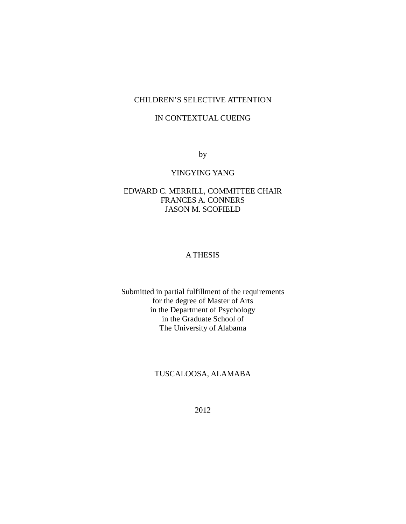# CHILDREN'S SELECTIVE ATTENTION

# IN CONTEXTUAL CUEING

by

# YINGYING YANG

# EDWARD C. MERRILL, COMMITTEE CHAIR FRANCES A. CONNERS JASON M. SCOFIELD

# A THESIS

Submitted in partial fulfillment of the requirements for the degree of Master of Arts in the Department of Psychology in the Graduate School of The University of Alabama

# TUSCALOOSA, ALAMABA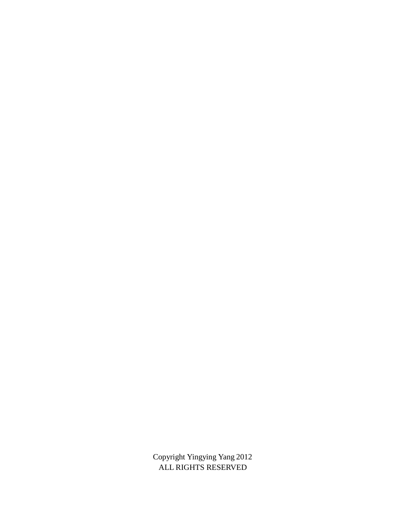Copyright Yingying Yang 2012 ALL RIGHTS RESERVED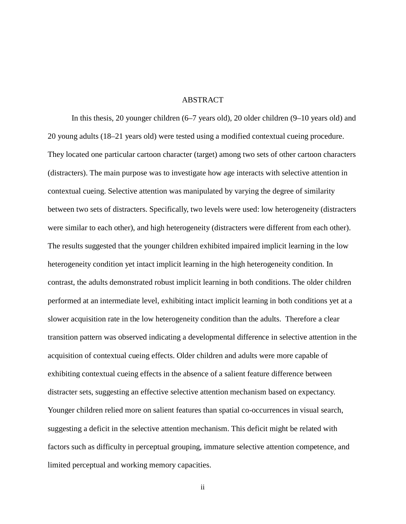### ABSTRACT

In this thesis, 20 younger children (6–7 years old), 20 older children (9–10 years old) and 20 young adults (18–21 years old) were tested using a modified contextual cueing procedure. They located one particular cartoon character (target) among two sets of other cartoon characters (distracters). The main purpose was to investigate how age interacts with selective attention in contextual cueing. Selective attention was manipulated by varying the degree of similarity between two sets of distracters. Specifically, two levels were used: low heterogeneity (distracters were similar to each other), and high heterogeneity (distracters were different from each other). The results suggested that the younger children exhibited impaired implicit learning in the low heterogeneity condition yet intact implicit learning in the high heterogeneity condition. In contrast, the adults demonstrated robust implicit learning in both conditions. The older children performed at an intermediate level, exhibiting intact implicit learning in both conditions yet at a slower acquisition rate in the low heterogeneity condition than the adults. Therefore a clear transition pattern was observed indicating a developmental difference in selective attention in the acquisition of contextual cueing effects. Older children and adults were more capable of exhibiting contextual cueing effects in the absence of a salient feature difference between distracter sets, suggesting an effective selective attention mechanism based on expectancy. Younger children relied more on salient features than spatial co-occurrences in visual search, suggesting a deficit in the selective attention mechanism. This deficit might be related with factors such as difficulty in perceptual grouping, immature selective attention competence, and limited perceptual and working memory capacities.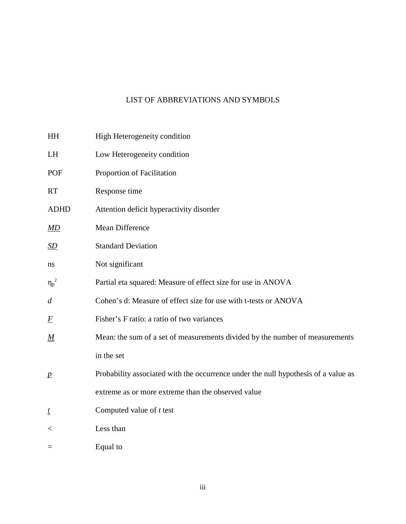# LIST OF ABBREVIATIONS AND SYMBOLS

| HH               | High Heterogeneity condition                                                       |
|------------------|------------------------------------------------------------------------------------|
| LH               | Low Heterogeneity condition                                                        |
| POF              | Proportion of Facilitation                                                         |
| <b>RT</b>        | Response time                                                                      |
| <b>ADHD</b>      | Attention deficit hyperactivity disorder                                           |
| <u>MD</u>        | Mean Difference                                                                    |
| <u>SD</u>        | <b>Standard Deviation</b>                                                          |
| ns               | Not significant                                                                    |
| $\eta_p^2$       | Partial eta squared: Measure of effect size for use in ANOVA                       |
| $\overline{d}$   | Cohen's d: Measure of effect size for use with t-tests or ANOVA                    |
| $\overline{F}$   | Fisher's F ratio: a ratio of two variances                                         |
| $\underline{M}$  | Mean: the sum of a set of measurements divided by the number of measurements       |
|                  | in the set                                                                         |
| $\boldsymbol{p}$ | Probability associated with the occurrence under the null hypothesis of a value as |
|                  | extreme as or more extreme than the observed value                                 |
| t                | Computed value of $t$ test                                                         |
| $\,<$            | Less than                                                                          |
| $=$              | Equal to                                                                           |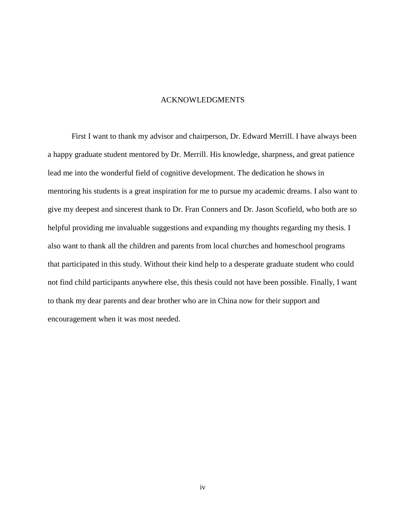#### ACKNOWLEDGMENTS

First I want to thank my advisor and chairperson, Dr. Edward Merrill. I have always been a happy graduate student mentored by Dr. Merrill. His knowledge, sharpness, and great patience lead me into the wonderful field of cognitive development. The dedication he shows in mentoring his students is a great inspiration for me to pursue my academic dreams. I also want to give my deepest and sincerest thank to Dr. Fran Conners and Dr. Jason Scofield, who both are so helpful providing me invaluable suggestions and expanding my thoughts regarding my thesis. I also want to thank all the children and parents from local churches and homeschool programs that participated in this study. Without their kind help to a desperate graduate student who could not find child participants anywhere else, this thesis could not have been possible. Finally, I want to thank my dear parents and dear brother who are in China now for their support and encouragement when it was most needed.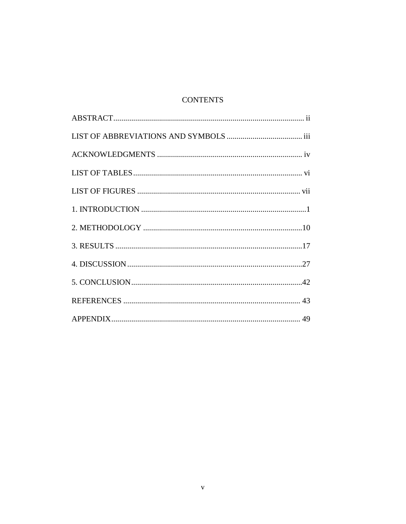# **CONTENTS**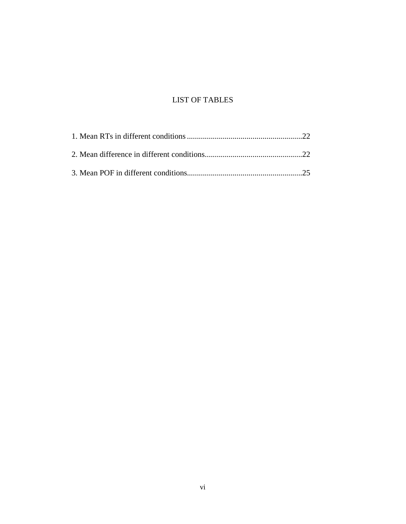# LIST OF TABLES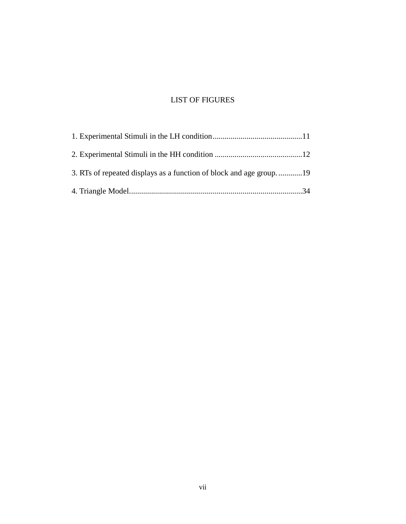# LIST OF FIGURES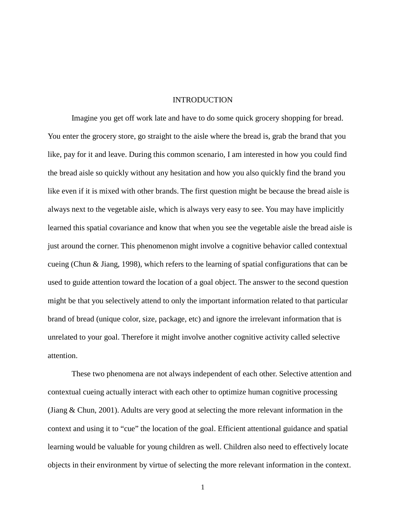### **INTRODUCTION**

Imagine you get off work late and have to do some quick grocery shopping for bread. You enter the grocery store, go straight to the aisle where the bread is, grab the brand that you like, pay for it and leave. During this common scenario, I am interested in how you could find the bread aisle so quickly without any hesitation and how you also quickly find the brand you like even if it is mixed with other brands. The first question might be because the bread aisle is always next to the vegetable aisle, which is always very easy to see. You may have implicitly learned this spatial covariance and know that when you see the vegetable aisle the bread aisle is just around the corner. This phenomenon might involve a cognitive behavior called contextual cueing (Chun & Jiang, 1998), which refers to the learning of spatial configurations that can be used to guide attention toward the location of a goal object. The answer to the second question might be that you selectively attend to only the important information related to that particular brand of bread (unique color, size, package, etc) and ignore the irrelevant information that is unrelated to your goal. Therefore it might involve another cognitive activity called selective attention.

These two phenomena are not always independent of each other. Selective attention and contextual cueing actually interact with each other to optimize human cognitive processing (Jiang & Chun, 2001). Adults are very good at selecting the more relevant information in the context and using it to "cue" the location of the goal. Efficient attentional guidance and spatial learning would be valuable for young children as well. Children also need to effectively locate objects in their environment by virtue of selecting the more relevant information in the context.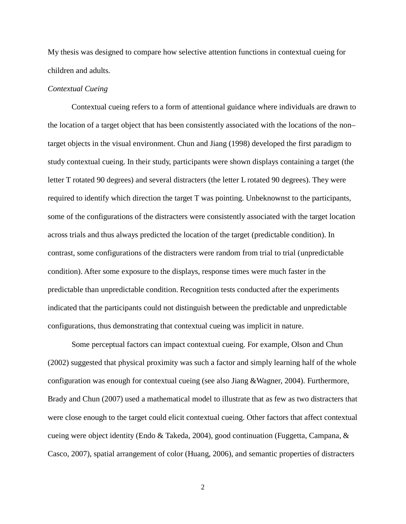My thesis was designed to compare how selective attention functions in contextual cueing for children and adults.

# *Contextual Cueing*

Contextual cueing refers to a form of attentional guidance where individuals are drawn to the location of a target object that has been consistently associated with the locations of the non– target objects in the visual environment. Chun and Jiang (1998) developed the first paradigm to study contextual cueing. In their study, participants were shown displays containing a target (the letter T rotated 90 degrees) and several distracters (the letter L rotated 90 degrees). They were required to identify which direction the target T was pointing. Unbeknownst to the participants, some of the configurations of the distracters were consistently associated with the target location across trials and thus always predicted the location of the target (predictable condition). In contrast, some configurations of the distracters were random from trial to trial (unpredictable condition). After some exposure to the displays, response times were much faster in the predictable than unpredictable condition. Recognition tests conducted after the experiments indicated that the participants could not distinguish between the predictable and unpredictable configurations, thus demonstrating that contextual cueing was implicit in nature.

Some perceptual factors can impact contextual cueing. For example, Olson and Chun (2002) suggested that physical proximity was such a factor and simply learning half of the whole configuration was enough for contextual cueing (see also Jiang &Wagner, 2004). Furthermore, Brady and Chun (2007) used a mathematical model to illustrate that as few as two distracters that were close enough to the target could elicit contextual cueing. Other factors that affect contextual cueing were object identity (Endo & Takeda, 2004), good continuation (Fuggetta, Campana, & Casco, 2007), spatial arrangement of color (Huang, 2006), and semantic properties of distracters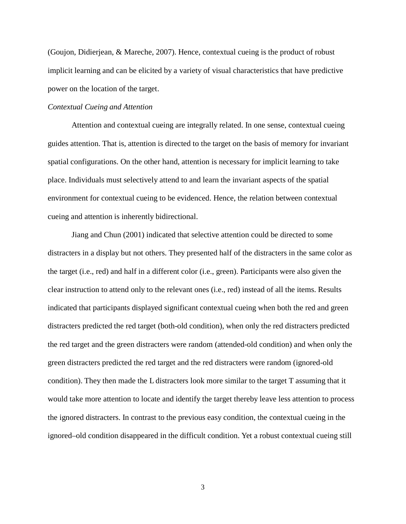(Goujon, Didierjean, & Mareche, 2007). Hence, contextual cueing is the product of robust implicit learning and can be elicited by a variety of visual characteristics that have predictive power on the location of the target.

# *Contextual Cueing and Attention*

Attention and contextual cueing are integrally related. In one sense, contextual cueing guides attention. That is, attention is directed to the target on the basis of memory for invariant spatial configurations. On the other hand, attention is necessary for implicit learning to take place. Individuals must selectively attend to and learn the invariant aspects of the spatial environment for contextual cueing to be evidenced. Hence, the relation between contextual cueing and attention is inherently bidirectional.

Jiang and Chun (2001) indicated that selective attention could be directed to some distracters in a display but not others. They presented half of the distracters in the same color as the target (i.e., red) and half in a different color (i.e., green). Participants were also given the clear instruction to attend only to the relevant ones (i.e., red) instead of all the items. Results indicated that participants displayed significant contextual cueing when both the red and green distracters predicted the red target (both-old condition), when only the red distracters predicted the red target and the green distracters were random (attended-old condition) and when only the green distracters predicted the red target and the red distracters were random (ignored-old condition). They then made the L distracters look more similar to the target T assuming that it would take more attention to locate and identify the target thereby leave less attention to process the ignored distracters. In contrast to the previous easy condition, the contextual cueing in the ignored–old condition disappeared in the difficult condition. Yet a robust contextual cueing still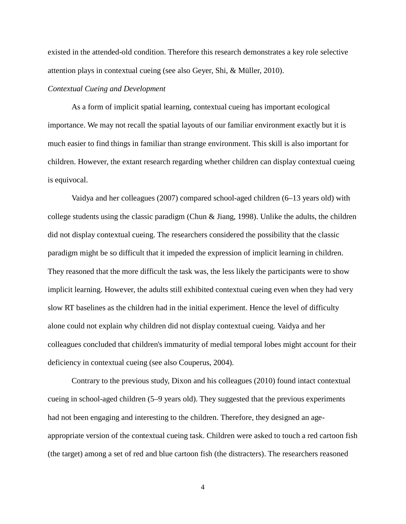existed in the attended-old condition. Therefore this research demonstrates a key role selective attention plays in contextual cueing (see also Geyer, Shi, & Müller, 2010).

# *Contextual Cueing and Development*

As a form of implicit spatial learning, contextual cueing has important ecological importance. We may not recall the spatial layouts of our familiar environment exactly but it is much easier to find things in familiar than strange environment. This skill is also important for children. However, the extant research regarding whether children can display contextual cueing is equivocal.

Vaidya and her colleagues (2007) compared school-aged children (6–13 years old) with college students using the classic paradigm (Chun  $\&$  Jiang, 1998). Unlike the adults, the children did not display contextual cueing. The researchers considered the possibility that the classic paradigm might be so difficult that it impeded the expression of implicit learning in children. They reasoned that the more difficult the task was, the less likely the participants were to show implicit learning. However, the adults still exhibited contextual cueing even when they had very slow RT baselines as the children had in the initial experiment. Hence the level of difficulty alone could not explain why children did not display contextual cueing. Vaidya and her colleagues concluded that children's immaturity of medial temporal lobes might account for their deficiency in contextual cueing (see also Couperus, 2004).

Contrary to the previous study, Dixon and his colleagues (2010) found intact contextual cueing in school-aged children (5–9 years old). They suggested that the previous experiments had not been engaging and interesting to the children. Therefore, they designed an ageappropriate version of the contextual cueing task. Children were asked to touch a red cartoon fish (the target) among a set of red and blue cartoon fish (the distracters). The researchers reasoned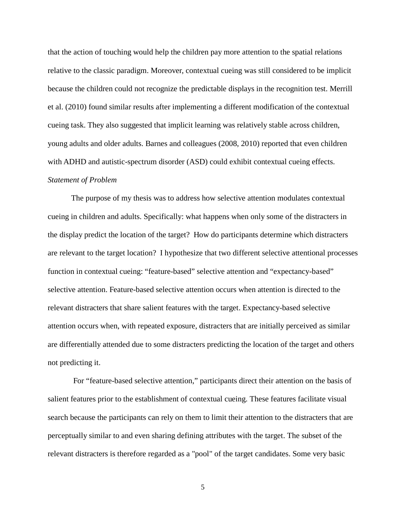that the action of touching would help the children pay more attention to the spatial relations relative to the classic paradigm. Moreover, contextual cueing was still considered to be implicit because the children could not recognize the predictable displays in the recognition test. Merrill et al. (2010) found similar results after implementing a different modification of the contextual cueing task. They also suggested that implicit learning was relatively stable across children, young adults and older adults. Barnes and colleagues (2008, 2010) reported that even children with ADHD and autistic-spectrum disorder (ASD) could exhibit contextual cueing effects. *Statement of Problem*

The purpose of my thesis was to address how selective attention modulates contextual cueing in children and adults. Specifically: what happens when only some of the distracters in the display predict the location of the target? How do participants determine which distracters are relevant to the target location? I hypothesize that two different selective attentional processes function in contextual cueing: "feature-based" selective attention and "expectancy-based" selective attention. Feature-based selective attention occurs when attention is directed to the relevant distracters that share salient features with the target. Expectancy-based selective attention occurs when, with repeated exposure, distracters that are initially perceived as similar are differentially attended due to some distracters predicting the location of the target and others not predicting it.

For "feature-based selective attention," participants direct their attention on the basis of salient features prior to the establishment of contextual cueing. These features facilitate visual search because the participants can rely on them to limit their attention to the distracters that are perceptually similar to and even sharing defining attributes with the target. The subset of the relevant distracters is therefore regarded as a "pool" of the target candidates. Some very basic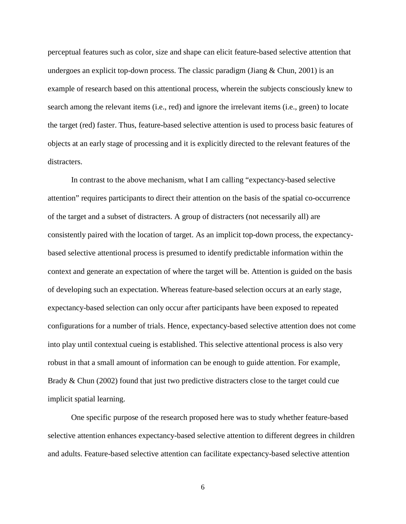perceptual features such as color, size and shape can elicit feature-based selective attention that undergoes an explicit top-down process. The classic paradigm (Jiang & Chun, 2001) is an example of research based on this attentional process, wherein the subjects consciously knew to search among the relevant items (i.e., red) and ignore the irrelevant items (i.e., green) to locate the target (red) faster. Thus, feature-based selective attention is used to process basic features of objects at an early stage of processing and it is explicitly directed to the relevant features of the distracters.

In contrast to the above mechanism, what I am calling "expectancy-based selective attention" requires participants to direct their attention on the basis of the spatial co-occurrence of the target and a subset of distracters. A group of distracters (not necessarily all) are consistently paired with the location of target. As an implicit top-down process, the expectancybased selective attentional process is presumed to identify predictable information within the context and generate an expectation of where the target will be. Attention is guided on the basis of developing such an expectation. Whereas feature-based selection occurs at an early stage, expectancy-based selection can only occur after participants have been exposed to repeated configurations for a number of trials. Hence, expectancy-based selective attention does not come into play until contextual cueing is established. This selective attentional process is also very robust in that a small amount of information can be enough to guide attention. For example, Brady & Chun (2002) found that just two predictive distracters close to the target could cue implicit spatial learning.

One specific purpose of the research proposed here was to study whether feature-based selective attention enhances expectancy-based selective attention to different degrees in children and adults. Feature-based selective attention can facilitate expectancy-based selective attention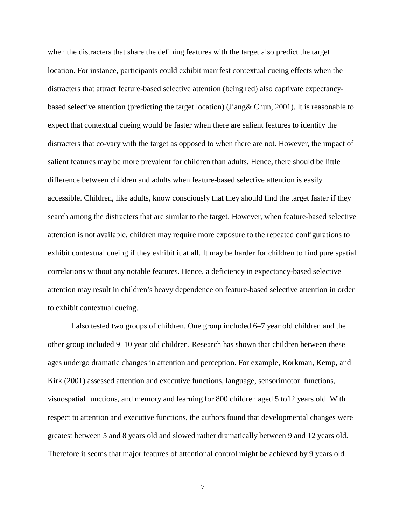when the distracters that share the defining features with the target also predict the target location. For instance, participants could exhibit manifest contextual cueing effects when the distracters that attract feature-based selective attention (being red) also captivate expectancybased selective attention (predicting the target location) (Jiang& Chun, 2001). It is reasonable to expect that contextual cueing would be faster when there are salient features to identify the distracters that co-vary with the target as opposed to when there are not. However, the impact of salient features may be more prevalent for children than adults. Hence, there should be little difference between children and adults when feature-based selective attention is easily accessible. Children, like adults, know consciously that they should find the target faster if they search among the distracters that are similar to the target. However, when feature-based selective attention is not available, children may require more exposure to the repeated configurations to exhibit contextual cueing if they exhibit it at all. It may be harder for children to find pure spatial correlations without any notable features. Hence, a deficiency in expectancy-based selective attention may result in children's heavy dependence on feature-based selective attention in order to exhibit contextual cueing.

I also tested two groups of children. One group included 6–7 year old children and the other group included 9–10 year old children. Research has shown that children between these ages undergo dramatic changes in attention and perception. For example, Korkman, Kemp, and Kirk (2001) assessed attention and executive functions, language, sensorimotor functions, visuospatial functions, and memory and learning for 800 children aged 5 to12 years old. With respect to attention and executive functions, the authors found that developmental changes were greatest between 5 and 8 years old and slowed rather dramatically between 9 and 12 years old. Therefore it seems that major features of attentional control might be achieved by 9 years old.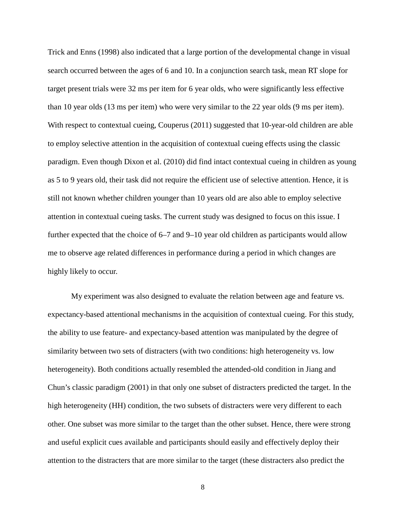Trick and Enns (1998) also indicated that a large portion of the developmental change in visual search occurred between the ages of 6 and 10. In a conjunction search task, mean RT slope for target present trials were 32 ms per item for 6 year olds, who were significantly less effective than 10 year olds (13 ms per item) who were very similar to the 22 year olds (9 ms per item). With respect to contextual cueing, Couperus (2011) suggested that 10-year-old children are able to employ selective attention in the acquisition of contextual cueing effects using the classic paradigm. Even though Dixon et al. (2010) did find intact contextual cueing in children as young as 5 to 9 years old, their task did not require the efficient use of selective attention. Hence, it is still not known whether children younger than 10 years old are also able to employ selective attention in contextual cueing tasks. The current study was designed to focus on this issue. I further expected that the choice of 6–7 and 9–10 year old children as participants would allow me to observe age related differences in performance during a period in which changes are highly likely to occur.

My experiment was also designed to evaluate the relation between age and feature vs. expectancy-based attentional mechanisms in the acquisition of contextual cueing. For this study, the ability to use feature- and expectancy-based attention was manipulated by the degree of similarity between two sets of distracters (with two conditions: high heterogeneity vs. low heterogeneity). Both conditions actually resembled the attended-old condition in Jiang and Chun's classic paradigm (2001) in that only one subset of distracters predicted the target. In the high heterogeneity (HH) condition, the two subsets of distracters were very different to each other. One subset was more similar to the target than the other subset. Hence, there were strong and useful explicit cues available and participants should easily and effectively deploy their attention to the distracters that are more similar to the target (these distracters also predict the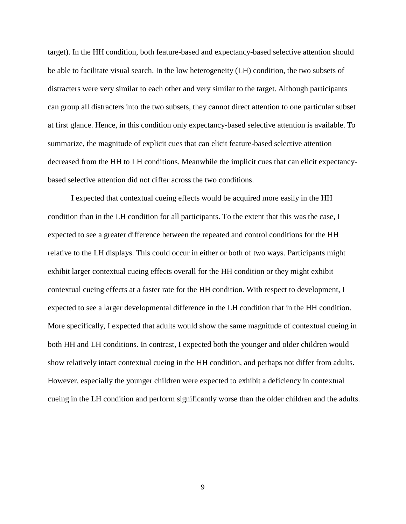target). In the HH condition, both feature-based and expectancy-based selective attention should be able to facilitate visual search. In the low heterogeneity (LH) condition, the two subsets of distracters were very similar to each other and very similar to the target. Although participants can group all distracters into the two subsets, they cannot direct attention to one particular subset at first glance. Hence, in this condition only expectancy-based selective attention is available. To summarize, the magnitude of explicit cues that can elicit feature-based selective attention decreased from the HH to LH conditions. Meanwhile the implicit cues that can elicit expectancybased selective attention did not differ across the two conditions.

I expected that contextual cueing effects would be acquired more easily in the HH condition than in the LH condition for all participants. To the extent that this was the case, I expected to see a greater difference between the repeated and control conditions for the HH relative to the LH displays. This could occur in either or both of two ways. Participants might exhibit larger contextual cueing effects overall for the HH condition or they might exhibit contextual cueing effects at a faster rate for the HH condition. With respect to development, I expected to see a larger developmental difference in the LH condition that in the HH condition. More specifically, I expected that adults would show the same magnitude of contextual cueing in both HH and LH conditions. In contrast, I expected both the younger and older children would show relatively intact contextual cueing in the HH condition, and perhaps not differ from adults. However, especially the younger children were expected to exhibit a deficiency in contextual cueing in the LH condition and perform significantly worse than the older children and the adults.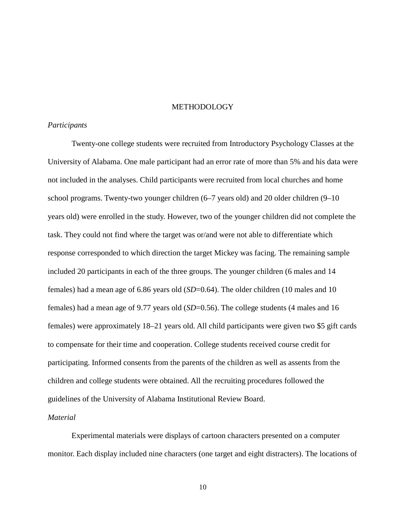### METHODOLOGY

#### *Participants*

Twenty-one college students were recruited from Introductory Psychology Classes at the University of Alabama. One male participant had an error rate of more than 5% and his data were not included in the analyses. Child participants were recruited from local churches and home school programs. Twenty-two younger children (6–7 years old) and 20 older children (9–10 years old) were enrolled in the study. However, two of the younger children did not complete the task. They could not find where the target was or/and were not able to differentiate which response corresponded to which direction the target Mickey was facing. The remaining sample included 20 participants in each of the three groups. The younger children (6 males and 14 females) had a mean age of 6.86 years old (*SD*=0.64). The older children (10 males and 10 females) had a mean age of 9.77 years old (*SD*=0.56). The college students (4 males and 16 females) were approximately 18–21 years old. All child participants were given two \$5 gift cards to compensate for their time and cooperation. College students received course credit for participating. Informed consents from the parents of the children as well as assents from the children and college students were obtained. All the recruiting procedures followed the guidelines of the University of Alabama Institutional Review Board.

#### *Material*

Experimental materials were displays of cartoon characters presented on a computer monitor. Each display included nine characters (one target and eight distracters). The locations of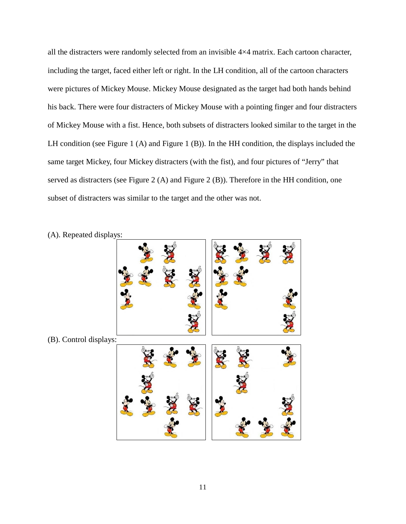all the distracters were randomly selected from an invisible 4×4 matrix. Each cartoon character, including the target, faced either left or right. In the LH condition, all of the cartoon characters were pictures of Mickey Mouse. Mickey Mouse designated as the target had both hands behind his back. There were four distracters of Mickey Mouse with a pointing finger and four distracters of Mickey Mouse with a fist. Hence, both subsets of distracters looked similar to the target in the LH condition (see Figure 1 (A) and Figure 1 (B)). In the HH condition, the displays included the same target Mickey, four Mickey distracters (with the fist), and four pictures of "Jerry" that served as distracters (see Figure 2 (A) and Figure 2 (B)). Therefore in the HH condition, one subset of distracters was similar to the target and the other was not.

- (B). Control displays:
- (A). Repeated displays: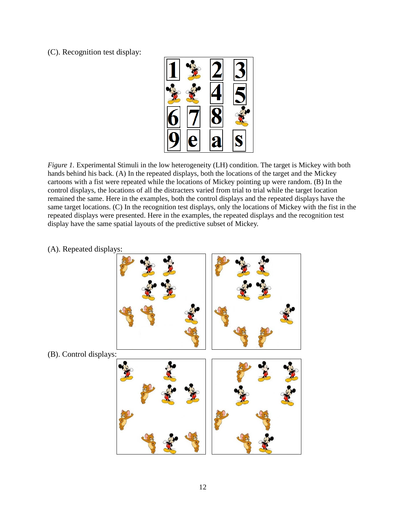(C). Recognition test display:



*Figure 1.* Experimental Stimuli in the low heterogeneity (LH) condition. The target is Mickey with both hands behind his back. (A) In the repeated displays, both the locations of the target and the Mickey cartoons with a fist were repeated while the locations of Mickey pointing up were random. (B) In the control displays, the locations of all the distracters varied from trial to trial while the target location remained the same. Here in the examples, both the control displays and the repeated displays have the same target locations. (C) In the recognition test displays, only the locations of Mickey with the fist in the repeated displays were presented. Here in the examples, the repeated displays and the recognition test display have the same spatial layouts of the predictive subset of Mickey.

(A). Repeated displays:

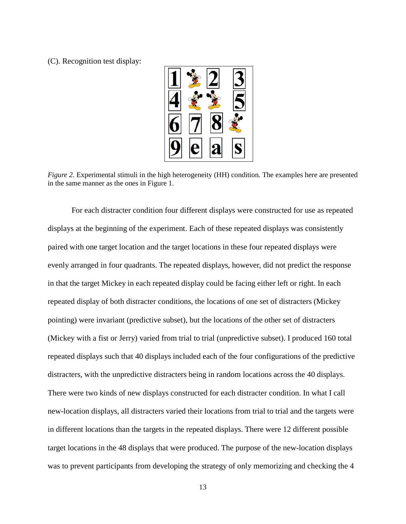(C). Recognition test display:



*Figure 2.* Experimental stimuli in the high heterogeneity (HH) condition. The examples here are presented in the same manner as the ones in Figure 1.

For each distracter condition four different displays were constructed for use as repeated displays at the beginning of the experiment. Each of these repeated displays was consistently paired with one target location and the target locations in these four repeated displays were evenly arranged in four quadrants. The repeated displays, however, did not predict the response in that the target Mickey in each repeated display could be facing either left or right. In each repeated display of both distracter conditions, the locations of one set of distracters (Mickey pointing) were invariant (predictive subset), but the locations of the other set of distracters (Mickey with a fist or Jerry) varied from trial to trial (unpredictive subset). I produced 160 total repeated displays such that 40 displays included each of the four configurations of the predictive distracters, with the unpredictive distracters being in random locations across the 40 displays. There were two kinds of new displays constructed for each distracter condition. In what I call new-location displays, all distracters varied their locations from trial to trial and the targets were in different locations than the targets in the repeated displays. There were 12 different possible target locations in the 48 displays that were produced. The purpose of the new-location displays was to prevent participants from developing the strategy of only memorizing and checking the 4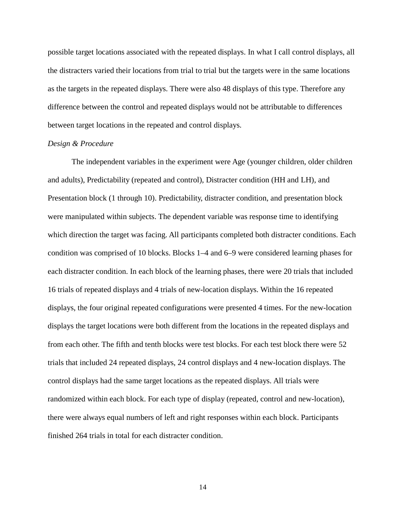possible target locations associated with the repeated displays. In what I call control displays, all the distracters varied their locations from trial to trial but the targets were in the same locations as the targets in the repeated displays. There were also 48 displays of this type. Therefore any difference between the control and repeated displays would not be attributable to differences between target locations in the repeated and control displays.

#### *Design & Procedure*

The independent variables in the experiment were Age (younger children, older children and adults), Predictability (repeated and control), Distracter condition (HH and LH), and Presentation block (1 through 10). Predictability, distracter condition, and presentation block were manipulated within subjects. The dependent variable was response time to identifying which direction the target was facing. All participants completed both distracter conditions. Each condition was comprised of 10 blocks. Blocks 1–4 and 6–9 were considered learning phases for each distracter condition. In each block of the learning phases, there were 20 trials that included 16 trials of repeated displays and 4 trials of new-location displays. Within the 16 repeated displays, the four original repeated configurations were presented 4 times. For the new-location displays the target locations were both different from the locations in the repeated displays and from each other. The fifth and tenth blocks were test blocks. For each test block there were 52 trials that included 24 repeated displays, 24 control displays and 4 new-location displays. The control displays had the same target locations as the repeated displays. All trials were randomized within each block. For each type of display (repeated, control and new-location), there were always equal numbers of left and right responses within each block. Participants finished 264 trials in total for each distracter condition.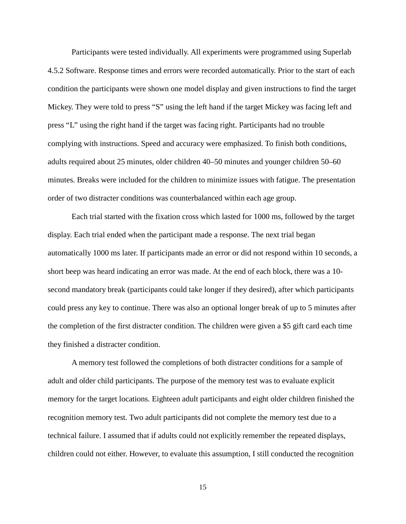Participants were tested individually. All experiments were programmed using Superlab 4.5.2 Software. Response times and errors were recorded automatically. Prior to the start of each condition the participants were shown one model display and given instructions to find the target Mickey. They were told to press "S" using the left hand if the target Mickey was facing left and press "L" using the right hand if the target was facing right. Participants had no trouble complying with instructions. Speed and accuracy were emphasized. To finish both conditions, adults required about 25 minutes, older children 40–50 minutes and younger children 50–60 minutes. Breaks were included for the children to minimize issues with fatigue. The presentation order of two distracter conditions was counterbalanced within each age group.

Each trial started with the fixation cross which lasted for 1000 ms, followed by the target display. Each trial ended when the participant made a response. The next trial began automatically 1000 ms later. If participants made an error or did not respond within 10 seconds, a short beep was heard indicating an error was made. At the end of each block, there was a 10 second mandatory break (participants could take longer if they desired), after which participants could press any key to continue. There was also an optional longer break of up to 5 minutes after the completion of the first distracter condition. The children were given a \$5 gift card each time they finished a distracter condition.

A memory test followed the completions of both distracter conditions for a sample of adult and older child participants. The purpose of the memory test was to evaluate explicit memory for the target locations. Eighteen adult participants and eight older children finished the recognition memory test. Two adult participants did not complete the memory test due to a technical failure. I assumed that if adults could not explicitly remember the repeated displays, children could not either. However, to evaluate this assumption, I still conducted the recognition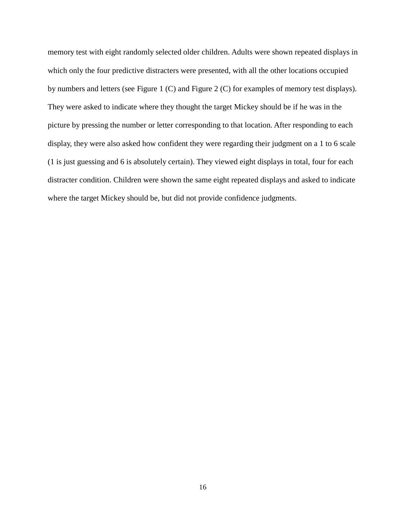memory test with eight randomly selected older children. Adults were shown repeated displays in which only the four predictive distracters were presented, with all the other locations occupied by numbers and letters (see Figure 1 (C) and Figure 2 (C) for examples of memory test displays). They were asked to indicate where they thought the target Mickey should be if he was in the picture by pressing the number or letter corresponding to that location. After responding to each display, they were also asked how confident they were regarding their judgment on a 1 to 6 scale (1 is just guessing and 6 is absolutely certain). They viewed eight displays in total, four for each distracter condition. Children were shown the same eight repeated displays and asked to indicate where the target Mickey should be, but did not provide confidence judgments.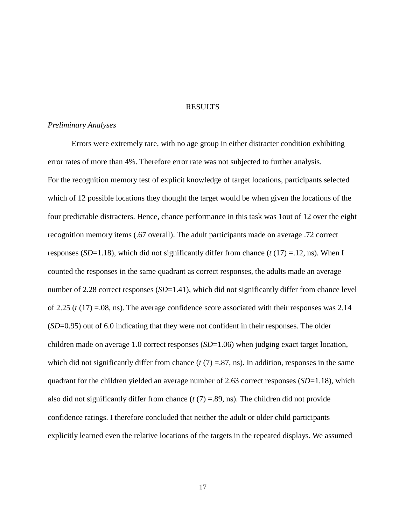### **RESULTS**

#### *Preliminary Analyses*

Errors were extremely rare, with no age group in either distracter condition exhibiting error rates of more than 4%. Therefore error rate was not subjected to further analysis. For the recognition memory test of explicit knowledge of target locations, participants selected which of 12 possible locations they thought the target would be when given the locations of the four predictable distracters. Hence, chance performance in this task was 1out of 12 over the eight recognition memory items (.67 overall). The adult participants made on average .72 correct responses (*SD*=1.18), which did not significantly differ from chance (*t* (17) =.12, ns). When I counted the responses in the same quadrant as correct responses, the adults made an average number of 2.28 correct responses (*SD*=1.41), which did not significantly differ from chance level of 2.25  $(t (17) = 08$ , ns). The average confidence score associated with their responses was 2.14 (*SD*=0.95) out of 6.0 indicating that they were not confident in their responses. The older children made on average 1.0 correct responses (*SD*=1.06) when judging exact target location, which did not significantly differ from chance  $(t(7) = .87, \text{ns})$ . In addition, responses in the same quadrant for the children yielded an average number of 2.63 correct responses (*SD*=1.18), which also did not significantly differ from chance (*t* (7) =.89, ns). The children did not provide confidence ratings. I therefore concluded that neither the adult or older child participants explicitly learned even the relative locations of the targets in the repeated displays. We assumed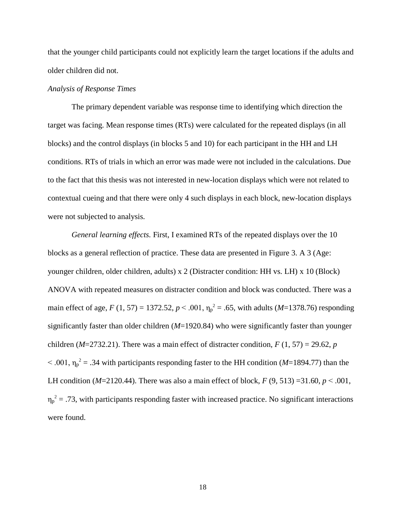that the younger child participants could not explicitly learn the target locations if the adults and older children did not.

### *Analysis of Response Times*

The primary dependent variable was response time to identifying which direction the target was facing. Mean response times (RTs) were calculated for the repeated displays (in all blocks) and the control displays (in blocks 5 and 10) for each participant in the HH and LH conditions. RTs of trials in which an error was made were not included in the calculations. Due to the fact that this thesis was not interested in new-location displays which were not related to contextual cueing and that there were only 4 such displays in each block, new-location displays were not subjected to analysis.

*General learning effects.* First, I examined RTs of the repeated displays over the 10 blocks as a general reflection of practice. These data are presented in Figure 3. A 3 (Age: younger children, older children, adults) x 2 (Distracter condition: HH vs. LH) x 10 (Block) ANOVA with repeated measures on distracter condition and block was conducted. There was a main effect of age, *F* (1, 57) = 1372.52, *p* < .001,  $\eta_p^2$  = .65, with adults (*M*=1378.76) responding significantly faster than older children (*M*=1920.84) who were significantly faster than younger children ( $M=2732.21$ ). There was a main effect of distracter condition,  $F(1, 57) = 29.62$ , *p*  $<$  .001,  $\eta_p^2$  = .34 with participants responding faster to the HH condition (*M*=1894.77) than the LH condition ( $M=2120.44$ ). There was also a main effect of block,  $F(9, 513) = 31.60$ ,  $p < .001$ ,  $\eta_p^2$  = .73, with participants responding faster with increased practice. No significant interactions were found.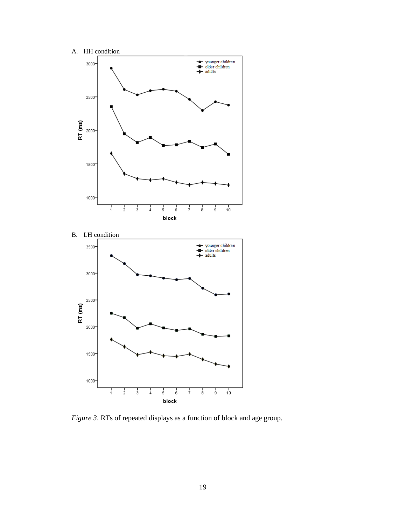

*Figure 3*. RTs of repeated displays as a function of block and age group.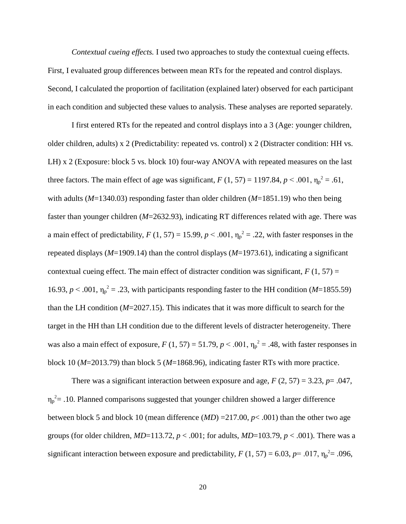*Contextual cueing effects.* I used two approaches to study the contextual cueing effects. First, I evaluated group differences between mean RTs for the repeated and control displays. Second, I calculated the proportion of facilitation (explained later) observed for each participant in each condition and subjected these values to analysis. These analyses are reported separately.

I first entered RTs for the repeated and control displays into a 3 (Age: younger children, older children, adults) x 2 (Predictability: repeated vs. control) x 2 (Distracter condition: HH vs. LH) x 2 (Exposure: block 5 vs. block 10) four-way ANOVA with repeated measures on the last three factors. The main effect of age was significant,  $F(1, 57) = 1197.84$ ,  $p < .001$ ,  $\eta_p^2 = .61$ , with adults (*M*=1340.03) responding faster than older children (*M*=1851.19) who then being faster than younger children (*M*=2632.93), indicating RT differences related with age. There was a main effect of predictability,  $F(1, 57) = 15.99$ ,  $p < .001$ ,  $\eta_p^2 = .22$ , with faster responses in the repeated displays (*M*=1909.14) than the control displays (*M*=1973.61), indicating a significant contextual cueing effect. The main effect of distracter condition was significant,  $F(1, 57) =$ 16.93,  $p < .001$ ,  $\eta_p^2 = .23$ , with participants responding faster to the HH condition (*M*=1855.59) than the LH condition (*M*=2027.15). This indicates that it was more difficult to search for the target in the HH than LH condition due to the different levels of distracter heterogeneity. There was also a main effect of exposure,  $F(1, 57) = 51.79$ ,  $p < .001$ ,  $\eta_p^2 = .48$ , with faster responses in block 10 (*M*=2013.79) than block 5 (*M*=1868.96), indicating faster RTs with more practice.

There was a significant interaction between exposure and age,  $F(2, 57) = 3.23$ ,  $p = .047$ ,  $\eta_p^2$  = .10. Planned comparisons suggested that younger children showed a larger difference between block 5 and block 10 (mean difference (*MD*) =217.00, *p*< .001) than the other two age groups (for older children, *MD*=113.72, *p* < .001; for adults, *MD*=103.79, *p* < .001). There was a significant interaction between exposure and predictability,  $F(1, 57) = 6.03$ ,  $p = .017$ ,  $\eta_p^2 = .096$ ,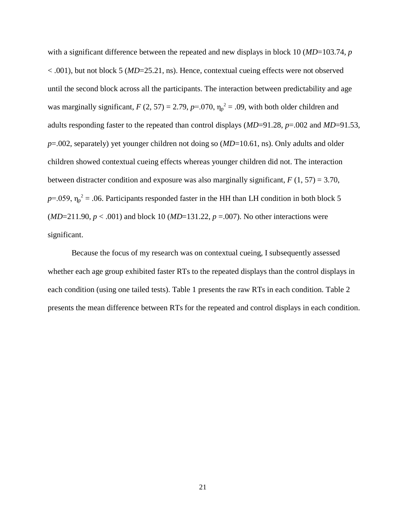with a significant difference between the repeated and new displays in block 10 (*MD*=103.74, *p* < .001), but not block 5 (*MD*=25.21, ns). Hence, contextual cueing effects were not observed until the second block across all the participants. The interaction between predictability and age was marginally significant,  $F(2, 57) = 2.79$ ,  $p=0.070$ ,  $\eta_p^2 = 0.09$ , with both older children and adults responding faster to the repeated than control displays (*MD*=91.28, *p*=.002 and *MD*=91.53, *p*=.002, separately) yet younger children not doing so (*MD*=10.61, ns). Only adults and older children showed contextual cueing effects whereas younger children did not. The interaction between distracter condition and exposure was also marginally significant,  $F(1, 57) = 3.70$ ,  $p=0.059$ ,  $\eta_p^2 = 0.06$ . Participants responded faster in the HH than LH condition in both block 5 (*MD*=211.90, *p* < .001) and block 10 (*MD*=131.22, *p* =.007). No other interactions were significant.

Because the focus of my research was on contextual cueing, I subsequently assessed whether each age group exhibited faster RTs to the repeated displays than the control displays in each condition (using one tailed tests). Table 1 presents the raw RTs in each condition. Table 2 presents the mean difference between RTs for the repeated and control displays in each condition.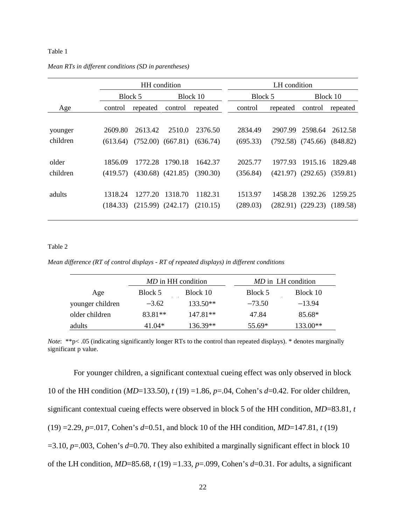### Table 1

|          | HH condition |          |                       |          | LH condition |          |                                  |          |
|----------|--------------|----------|-----------------------|----------|--------------|----------|----------------------------------|----------|
|          |              | Block 5  |                       | Block 10 | Block 5      |          |                                  | Block 10 |
| Age      | control      | repeated | control               | repeated | control      | repeated | control                          | repeated |
|          |              |          |                       |          |              |          |                                  |          |
| younger  | 2609.80      | 2613.42  | 2510.0                | 2376.50  | 2834.49      | 2907.99  | 2598.64                          | 2612.58  |
| children | (613.64)     |          | $(752.00)$ $(667.81)$ | (636.74) | (695.33)     |          | $(792.58)$ $(745.66)$ $(848.82)$ |          |
|          |              |          |                       |          |              |          |                                  |          |
| older    | 1856.09      | 1772.28  | 1790.18               | 1642.37  | 2025.77      | 1977.93  | 1915.16                          | 1829.48  |
| children | (419.57)     |          | $(430.68)$ $(421.85)$ | (390.30) | (356.84)     |          | $(421.97)$ $(292.65)$            | (359.81) |
|          |              |          |                       |          |              |          |                                  |          |
| adults   | 1318.24      | 1277.20  | 1318.70               | 1182.31  | 1513.97      | 1458.28  | 1392.26                          | 1259.25  |
|          | (184.33)     |          | $(215.99)$ $(242.17)$ | (210.15) | (289.03)     |          | $(282.91)$ $(229.23)$            | (189.58) |
|          |              |          |                       |          |              |          |                                  |          |

#### *Mean RTs in different conditions (SD in parentheses)*

#### Table 2

*Mean difference (RT of control displays - RT of repeated displays) in different conditions*

|                  |         | <i>MD</i> in HH condition |          | <i>MD</i> in LH condition |
|------------------|---------|---------------------------|----------|---------------------------|
| Age              | Block 5 | Block 10                  | Block 5  | Block 10                  |
| younger children | $-3.62$ | $133.50**$                | $-73.50$ | $-13.94$                  |
| older children   | 83.81** | $147.81**$                | 47.84    | 85.68*                    |
| adults           | 41.04*  | $136.39**$                | $55.69*$ | $133.00**$                |

*Note*: \*\*p< .05 (indicating significantly longer RTs to the control than repeated displays). \* denotes marginally significant p value.

For younger children, a significant contextual cueing effect was only observed in block 10 of the HH condition (*MD*=133.50), *t* (19) =1.86, *p*=.04, Cohen's *d*=0.42. For older children, significant contextual cueing effects were observed in block 5 of the HH condition, *MD*=83.81, *t*  (19) =2.29, *p*=.017, Cohen's *d*=0.51, and block 10 of the HH condition, *MD*=147.81, *t* (19) =3.10, *p*=.003, Cohen's *d*=0.70. They also exhibited a marginally significant effect in block 10 of the LH condition, *MD*=85.68, *t* (19) =1.33, *p*=.099, Cohen's *d*=0.31. For adults, a significant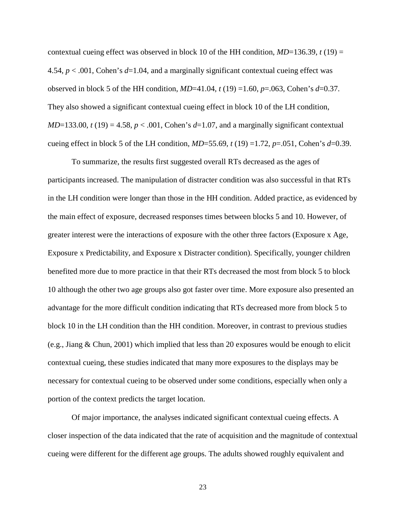contextual cueing effect was observed in block 10 of the HH condition,  $MD=136.39$ ,  $t(19)$  = 4.54, *p* < .001, Cohen's *d*=1.04, and a marginally significant contextual cueing effect was observed in block 5 of the HH condition, *MD*=41.04, *t* (19) =1.60, *p*=.063, Cohen's *d*=0.37. They also showed a significant contextual cueing effect in block 10 of the LH condition,  $MD=133.00$ ,  $t(19) = 4.58$ ,  $p < .001$ , Cohen's  $d=1.07$ , and a marginally significant contextual cueing effect in block 5 of the LH condition,  $MD=55.69$ ,  $t(19) = 1.72$ ,  $p=.051$ , Cohen's  $d=0.39$ .

To summarize, the results first suggested overall RTs decreased as the ages of participants increased. The manipulation of distracter condition was also successful in that RTs in the LH condition were longer than those in the HH condition. Added practice, as evidenced by the main effect of exposure, decreased responses times between blocks 5 and 10. However, of greater interest were the interactions of exposure with the other three factors (Exposure x Age, Exposure x Predictability, and Exposure x Distracter condition). Specifically, younger children benefited more due to more practice in that their RTs decreased the most from block 5 to block 10 although the other two age groups also got faster over time. More exposure also presented an advantage for the more difficult condition indicating that RTs decreased more from block 5 to block 10 in the LH condition than the HH condition. Moreover, in contrast to previous studies (e.g., Jiang & Chun, 2001) which implied that less than 20 exposures would be enough to elicit contextual cueing, these studies indicated that many more exposures to the displays may be necessary for contextual cueing to be observed under some conditions, especially when only a portion of the context predicts the target location.

Of major importance, the analyses indicated significant contextual cueing effects. A closer inspection of the data indicated that the rate of acquisition and the magnitude of contextual cueing were different for the different age groups. The adults showed roughly equivalent and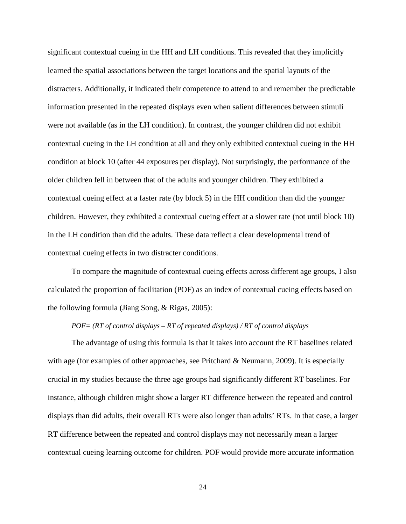significant contextual cueing in the HH and LH conditions. This revealed that they implicitly learned the spatial associations between the target locations and the spatial layouts of the distracters. Additionally, it indicated their competence to attend to and remember the predictable information presented in the repeated displays even when salient differences between stimuli were not available (as in the LH condition). In contrast, the younger children did not exhibit contextual cueing in the LH condition at all and they only exhibited contextual cueing in the HH condition at block 10 (after 44 exposures per display). Not surprisingly, the performance of the older children fell in between that of the adults and younger children. They exhibited a contextual cueing effect at a faster rate (by block 5) in the HH condition than did the younger children. However, they exhibited a contextual cueing effect at a slower rate (not until block 10) in the LH condition than did the adults. These data reflect a clear developmental trend of contextual cueing effects in two distracter conditions.

To compare the magnitude of contextual cueing effects across different age groups, I also calculated the proportion of facilitation (POF) as an index of contextual cueing effects based on the following formula (Jiang Song, & Rigas, 2005):

# *POF= (RT of control displays – RT of repeated displays) / RT of control displays*

The advantage of using this formula is that it takes into account the RT baselines related with age (for examples of other approaches, see Pritchard & Neumann, 2009). It is especially crucial in my studies because the three age groups had significantly different RT baselines. For instance, although children might show a larger RT difference between the repeated and control displays than did adults, their overall RTs were also longer than adults' RTs. In that case, a larger RT difference between the repeated and control displays may not necessarily mean a larger contextual cueing learning outcome for children. POF would provide more accurate information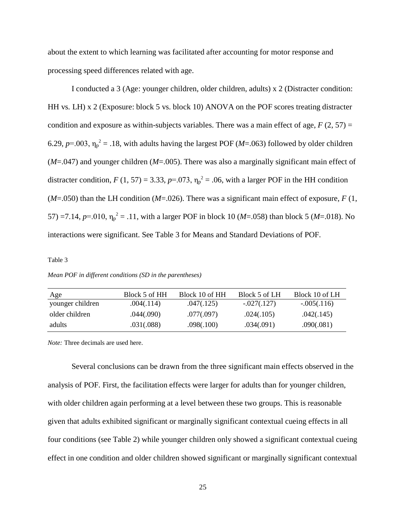about the extent to which learning was facilitated after accounting for motor response and processing speed differences related with age.

I conducted a 3 (Age: younger children, older children, adults) x 2 (Distracter condition: HH vs. LH) x 2 (Exposure: block 5 vs. block 10) ANOVA on the POF scores treating distracter condition and exposure as within-subjects variables. There was a main effect of age,  $F(2, 57) =$ 6.29,  $p=0.003$ ,  $\eta_p^2 = 0.18$ , with adults having the largest POF (*M*=.063) followed by older children (*M*=.047) and younger children (*M*=.005). There was also a marginally significant main effect of distracter condition,  $F(1, 57) = 3.33$ ,  $p=0.073$ ,  $\eta_p^2 = 0.06$ , with a larger POF in the HH condition  $(M=050)$  than the LH condition ( $M=026$ ). There was a significant main effect of exposure, *F* (1, 57) =7.14,  $p=010$ ,  $\eta_p^2 = .11$ , with a larger POF in block 10 (*M*=.058) than block 5 (*M*=.018). No interactions were significant. See Table 3 for Means and Standard Deviations of POF.

#### Table 3

*Mean POF in different conditions (SD in the parentheses)*

| Age              | Block 5 of HH | Block 10 of HH | Block 5 of LH | Block 10 of LH |
|------------------|---------------|----------------|---------------|----------------|
| younger children | .004(.114)    | .047(.125)     | $-.027(.127)$ | $-.005(.116)$  |
| older children   | .044(.090)    | .077(.097)     | .024(.105)    | .042(.145)     |
| adults           | .031(.088)    | .098(.100)     | .034(.091)    | .090(.081)     |

*Note:* Three decimals are used here.

Several conclusions can be drawn from the three significant main effects observed in the analysis of POF. First, the facilitation effects were larger for adults than for younger children, with older children again performing at a level between these two groups. This is reasonable given that adults exhibited significant or marginally significant contextual cueing effects in all four conditions (see Table 2) while younger children only showed a significant contextual cueing effect in one condition and older children showed significant or marginally significant contextual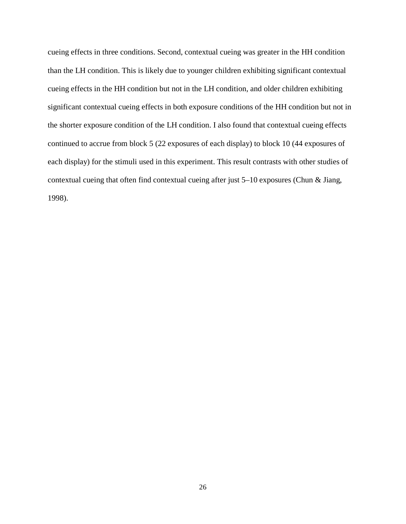cueing effects in three conditions. Second, contextual cueing was greater in the HH condition than the LH condition. This is likely due to younger children exhibiting significant contextual cueing effects in the HH condition but not in the LH condition, and older children exhibiting significant contextual cueing effects in both exposure conditions of the HH condition but not in the shorter exposure condition of the LH condition. I also found that contextual cueing effects continued to accrue from block 5 (22 exposures of each display) to block 10 (44 exposures of each display) for the stimuli used in this experiment. This result contrasts with other studies of contextual cueing that often find contextual cueing after just 5–10 exposures (Chun & Jiang, 1998).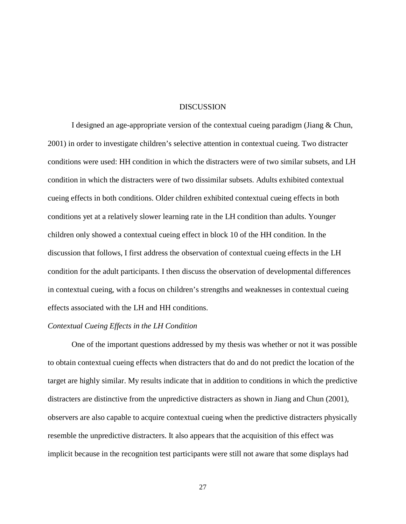### **DISCUSSION**

I designed an age-appropriate version of the contextual cueing paradigm (Jiang & Chun, 2001) in order to investigate children's selective attention in contextual cueing. Two distracter conditions were used: HH condition in which the distracters were of two similar subsets, and LH condition in which the distracters were of two dissimilar subsets. Adults exhibited contextual cueing effects in both conditions. Older children exhibited contextual cueing effects in both conditions yet at a relatively slower learning rate in the LH condition than adults. Younger children only showed a contextual cueing effect in block 10 of the HH condition. In the discussion that follows, I first address the observation of contextual cueing effects in the LH condition for the adult participants. I then discuss the observation of developmental differences in contextual cueing, with a focus on children's strengths and weaknesses in contextual cueing effects associated with the LH and HH conditions.

#### *Contextual Cueing Effects in the LH Condition*

One of the important questions addressed by my thesis was whether or not it was possible to obtain contextual cueing effects when distracters that do and do not predict the location of the target are highly similar. My results indicate that in addition to conditions in which the predictive distracters are distinctive from the unpredictive distracters as shown in Jiang and Chun (2001), observers are also capable to acquire contextual cueing when the predictive distracters physically resemble the unpredictive distracters. It also appears that the acquisition of this effect was implicit because in the recognition test participants were still not aware that some displays had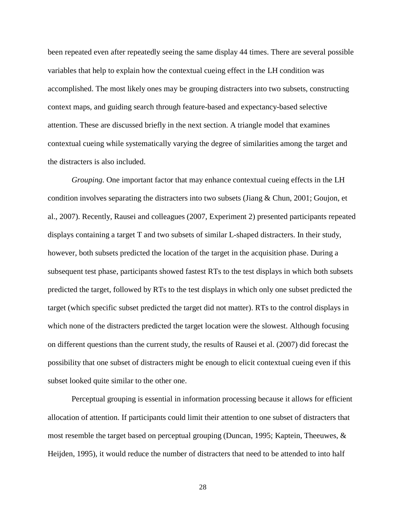been repeated even after repeatedly seeing the same display 44 times. There are several possible variables that help to explain how the contextual cueing effect in the LH condition was accomplished. The most likely ones may be grouping distracters into two subsets, constructing context maps, and guiding search through feature-based and expectancy-based selective attention. These are discussed briefly in the next section. A triangle model that examines contextual cueing while systematically varying the degree of similarities among the target and the distracters is also included.

*Grouping.* One important factor that may enhance contextual cueing effects in the LH condition involves separating the distracters into two subsets (Jiang  $\&$  Chun, 2001; Goujon, et al., 2007). Recently, Rausei and colleagues (2007, Experiment 2) presented participants repeated displays containing a target T and two subsets of similar L-shaped distracters. In their study, however, both subsets predicted the location of the target in the acquisition phase. During a subsequent test phase, participants showed fastest RTs to the test displays in which both subsets predicted the target, followed by RTs to the test displays in which only one subset predicted the target (which specific subset predicted the target did not matter). RTs to the control displays in which none of the distracters predicted the target location were the slowest. Although focusing on different questions than the current study, the results of Rausei et al. (2007) did forecast the possibility that one subset of distracters might be enough to elicit contextual cueing even if this subset looked quite similar to the other one.

Perceptual grouping is essential in information processing because it allows for efficient allocation of attention. If participants could limit their attention to one subset of distracters that most resemble the target based on perceptual grouping (Duncan, 1995; Kaptein, Theeuwes, & Heijden, 1995), it would reduce the number of distracters that need to be attended to into half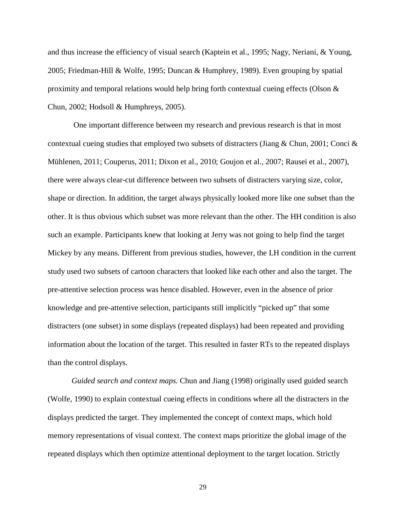and thus increase the efficiency of visual search (Kaptein et al., 1995; Nagy, Neriani, & Young, 2005; Friedman-Hill & Wolfe, 1995; Duncan & Humphrey, 1989). Even grouping by spatial proximity and temporal relations would help bring forth contextual cueing effects (Olson & Chun, 2002; Hodsoll & Humphreys, 2005).

One important difference between my research and previous research is that in most contextual cueing studies that employed two subsets of distracters (Jiang & Chun, 2001; Conci & Mühlenen, 2011; Couperus, 2011; Dixon et al., 2010; Goujon et al., 2007; Rausei et al., 2007), there were always clear-cut difference between two subsets of distracters varying size, color, shape or direction. In addition, the target always physically looked more like one subset than the other. It is thus obvious which subset was more relevant than the other. The HH condition is also such an example. Participants knew that looking at Jerry was not going to help find the target Mickey by any means. Different from previous studies, however, the LH condition in the current study used two subsets of cartoon characters that looked like each other and also the target. The pre-attentive selection process was hence disabled. However, even in the absence of prior knowledge and pre-attentive selection, participants still implicitly "picked up" that some distracters (one subset) in some displays (repeated displays) had been repeated and providing information about the location of the target. This resulted in faster RTs to the repeated displays than the control displays.

*Guided search and context maps.* Chun and Jiang (1998) originally used guided search (Wolfe, 1990) to explain contextual cueing effects in conditions where all the distracters in the displays predicted the target. They implemented the concept of context maps, which hold memory representations of visual context. The context maps prioritize the global image of the repeated displays which then optimize attentional deployment to the target location. Strictly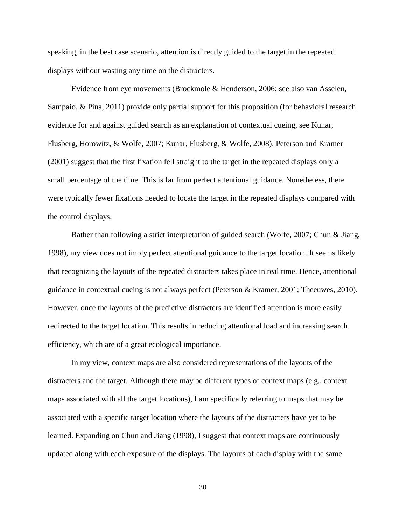speaking, in the best case scenario, attention is directly guided to the target in the repeated displays without wasting any time on the distracters.

Evidence from eye movements (Brockmole & Henderson, 2006; see also van Asselen, Sampaio, & Pina, 2011) provide only partial support for this proposition (for behavioral research evidence for and against guided search as an explanation of contextual cueing, see Kunar, Flusberg, Horowitz, & Wolfe, 2007; Kunar, Flusberg, & Wolfe, 2008). Peterson and Kramer (2001) suggest that the first fixation fell straight to the target in the repeated displays only a small percentage of the time. This is far from perfect attentional guidance. Nonetheless, there were typically fewer fixations needed to locate the target in the repeated displays compared with the control displays.

Rather than following a strict interpretation of guided search (Wolfe, 2007; Chun & Jiang, 1998), my view does not imply perfect attentional guidance to the target location. It seems likely that recognizing the layouts of the repeated distracters takes place in real time. Hence, attentional guidance in contextual cueing is not always perfect (Peterson & Kramer, 2001; Theeuwes, 2010). However, once the layouts of the predictive distracters are identified attention is more easily redirected to the target location. This results in reducing attentional load and increasing search efficiency, which are of a great ecological importance.

In my view, context maps are also considered representations of the layouts of the distracters and the target. Although there may be different types of context maps (e.g., context maps associated with all the target locations), I am specifically referring to maps that may be associated with a specific target location where the layouts of the distracters have yet to be learned. Expanding on Chun and Jiang (1998), I suggest that context maps are continuously updated along with each exposure of the displays. The layouts of each display with the same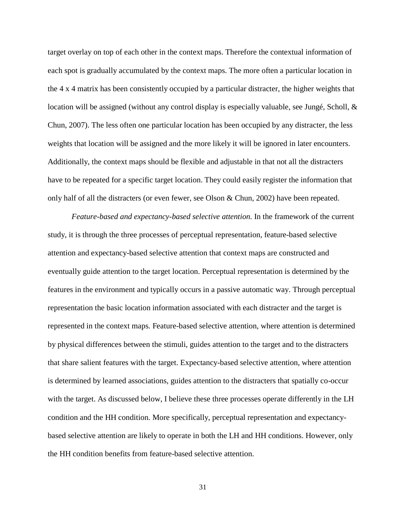target overlay on top of each other in the context maps. Therefore the contextual information of each spot is gradually accumulated by the context maps. The more often a particular location in the 4 x 4 matrix has been consistently occupied by a particular distracter, the higher weights that location will be assigned (without any control display is especially valuable, see Jungé, Scholl, & Chun, 2007). The less often one particular location has been occupied by any distracter, the less weights that location will be assigned and the more likely it will be ignored in later encounters. Additionally, the context maps should be flexible and adjustable in that not all the distracters have to be repeated for a specific target location. They could easily register the information that only half of all the distracters (or even fewer, see Olson & Chun, 2002) have been repeated.

*Feature-based and expectancy-based selective attention.* In the framework of the current study, it is through the three processes of perceptual representation, feature-based selective attention and expectancy-based selective attention that context maps are constructed and eventually guide attention to the target location. Perceptual representation is determined by the features in the environment and typically occurs in a passive automatic way. Through perceptual representation the basic location information associated with each distracter and the target is represented in the context maps. Feature-based selective attention, where attention is determined by physical differences between the stimuli, guides attention to the target and to the distracters that share salient features with the target. Expectancy-based selective attention, where attention is determined by learned associations, guides attention to the distracters that spatially co-occur with the target. As discussed below, I believe these three processes operate differently in the LH condition and the HH condition. More specifically, perceptual representation and expectancybased selective attention are likely to operate in both the LH and HH conditions. However, only the HH condition benefits from feature-based selective attention.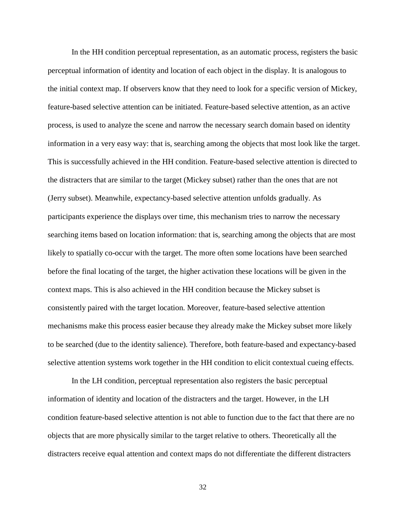In the HH condition perceptual representation, as an automatic process, registers the basic perceptual information of identity and location of each object in the display. It is analogous to the initial context map. If observers know that they need to look for a specific version of Mickey, feature-based selective attention can be initiated. Feature-based selective attention, as an active process, is used to analyze the scene and narrow the necessary search domain based on identity information in a very easy way: that is, searching among the objects that most look like the target. This is successfully achieved in the HH condition. Feature-based selective attention is directed to the distracters that are similar to the target (Mickey subset) rather than the ones that are not (Jerry subset). Meanwhile, expectancy-based selective attention unfolds gradually. As participants experience the displays over time, this mechanism tries to narrow the necessary searching items based on location information: that is, searching among the objects that are most likely to spatially co-occur with the target. The more often some locations have been searched before the final locating of the target, the higher activation these locations will be given in the context maps. This is also achieved in the HH condition because the Mickey subset is consistently paired with the target location. Moreover, feature-based selective attention mechanisms make this process easier because they already make the Mickey subset more likely to be searched (due to the identity salience). Therefore, both feature-based and expectancy-based selective attention systems work together in the HH condition to elicit contextual cueing effects.

In the LH condition, perceptual representation also registers the basic perceptual information of identity and location of the distracters and the target. However, in the LH condition feature-based selective attention is not able to function due to the fact that there are no objects that are more physically similar to the target relative to others. Theoretically all the distracters receive equal attention and context maps do not differentiate the different distracters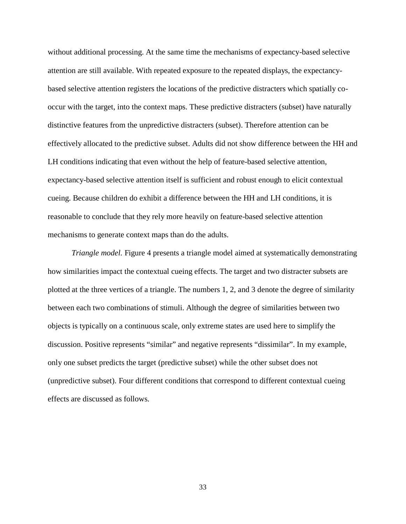without additional processing. At the same time the mechanisms of expectancy-based selective attention are still available. With repeated exposure to the repeated displays, the expectancybased selective attention registers the locations of the predictive distracters which spatially cooccur with the target, into the context maps. These predictive distracters (subset) have naturally distinctive features from the unpredictive distracters (subset). Therefore attention can be effectively allocated to the predictive subset. Adults did not show difference between the HH and LH conditions indicating that even without the help of feature-based selective attention, expectancy-based selective attention itself is sufficient and robust enough to elicit contextual cueing. Because children do exhibit a difference between the HH and LH conditions, it is reasonable to conclude that they rely more heavily on feature-based selective attention mechanisms to generate context maps than do the adults.

*Triangle model.* Figure 4 presents a triangle model aimed at systematically demonstrating how similarities impact the contextual cueing effects. The target and two distracter subsets are plotted at the three vertices of a triangle. The numbers 1, 2, and 3 denote the degree of similarity between each two combinations of stimuli. Although the degree of similarities between two objects is typically on a continuous scale, only extreme states are used here to simplify the discussion. Positive represents "similar" and negative represents "dissimilar". In my example, only one subset predicts the target (predictive subset) while the other subset does not (unpredictive subset). Four different conditions that correspond to different contextual cueing effects are discussed as follows.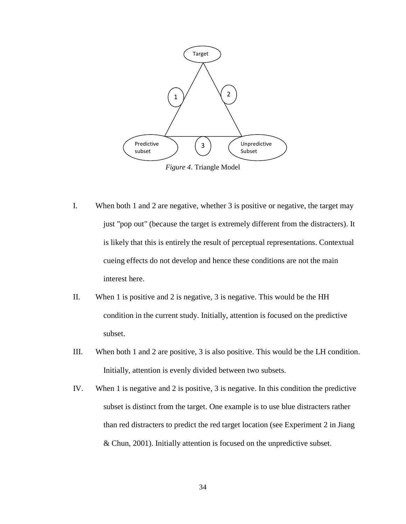

*Figure 4*. Triangle Model

- I. When both 1 and 2 are negative, whether 3 is positive or negative, the target may just "pop out" (because the target is extremely different from the distracters). It is likely that this is entirely the result of perceptual representations. Contextual cueing effects do not develop and hence these conditions are not the main interest here.
- II. When 1 is positive and 2 is negative, 3 is negative. This would be the HH condition in the current study. Initially, attention is focused on the predictive subset.
- III. When both 1 and 2 are positive, 3 is also positive. This would be the LH condition. Initially, attention is evenly divided between two subsets.
- IV. When 1 is negative and 2 is positive, 3 is negative. In this condition the predictive subset is distinct from the target. One example is to use blue distracters rather than red distracters to predict the red target location (see Experiment 2 in Jiang & Chun, 2001). Initially attention is focused on the unpredictive subset.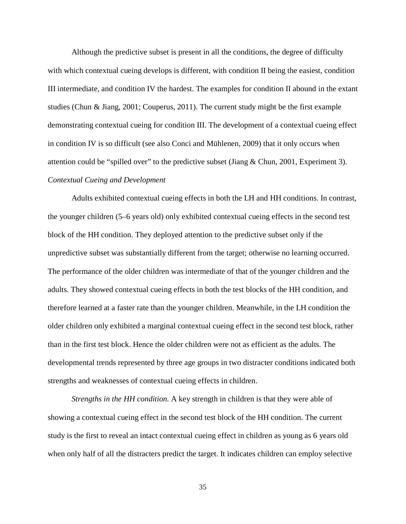Although the predictive subset is present in all the conditions, the degree of difficulty with which contextual cueing develops is different, with condition II being the easiest, condition III intermediate, and condition IV the hardest. The examples for condition II abound in the extant studies (Chun & Jiang, 2001; Couperus, 2011). The current study might be the first example demonstrating contextual cueing for condition III. The development of a contextual cueing effect in condition IV is so difficult (see also Conci and Mühlenen, 2009) that it only occurs when attention could be "spilled over" to the predictive subset (Jiang & Chun, 2001, Experiment 3). *Contextual Cueing and Development*

Adults exhibited contextual cueing effects in both the LH and HH conditions. In contrast, the younger children (5–6 years old) only exhibited contextual cueing effects in the second test block of the HH condition. They deployed attention to the predictive subset only if the unpredictive subset was substantially different from the target; otherwise no learning occurred. The performance of the older children was intermediate of that of the younger children and the adults. They showed contextual cueing effects in both the test blocks of the HH condition, and therefore learned at a faster rate than the younger children. Meanwhile, in the LH condition the older children only exhibited a marginal contextual cueing effect in the second test block, rather than in the first test block. Hence the older children were not as efficient as the adults. The developmental trends represented by three age groups in two distracter conditions indicated both strengths and weaknesses of contextual cueing effects in children.

*Strengths in the HH condition.* A key strength in children is that they were able of showing a contextual cueing effect in the second test block of the HH condition. The current study is the first to reveal an intact contextual cueing effect in children as young as 6 years old when only half of all the distracters predict the target. It indicates children can employ selective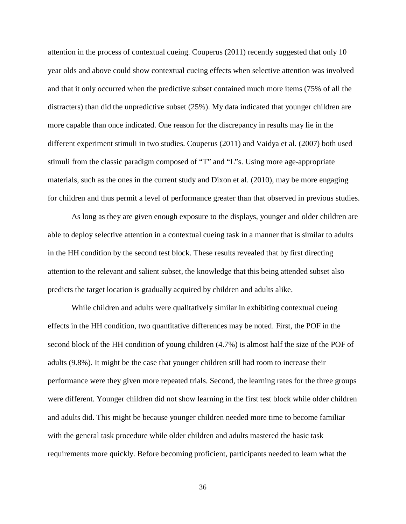attention in the process of contextual cueing. Couperus (2011) recently suggested that only 10 year olds and above could show contextual cueing effects when selective attention was involved and that it only occurred when the predictive subset contained much more items (75% of all the distracters) than did the unpredictive subset (25%). My data indicated that younger children are more capable than once indicated. One reason for the discrepancy in results may lie in the different experiment stimuli in two studies. Couperus (2011) and Vaidya et al. (2007) both used stimuli from the classic paradigm composed of "T" and "L"s. Using more age-appropriate materials, such as the ones in the current study and Dixon et al. (2010), may be more engaging for children and thus permit a level of performance greater than that observed in previous studies.

As long as they are given enough exposure to the displays, younger and older children are able to deploy selective attention in a contextual cueing task in a manner that is similar to adults in the HH condition by the second test block. These results revealed that by first directing attention to the relevant and salient subset, the knowledge that this being attended subset also predicts the target location is gradually acquired by children and adults alike.

While children and adults were qualitatively similar in exhibiting contextual cueing effects in the HH condition, two quantitative differences may be noted. First, the POF in the second block of the HH condition of young children (4.7%) is almost half the size of the POF of adults (9.8%). It might be the case that younger children still had room to increase their performance were they given more repeated trials. Second, the learning rates for the three groups were different. Younger children did not show learning in the first test block while older children and adults did. This might be because younger children needed more time to become familiar with the general task procedure while older children and adults mastered the basic task requirements more quickly. Before becoming proficient, participants needed to learn what the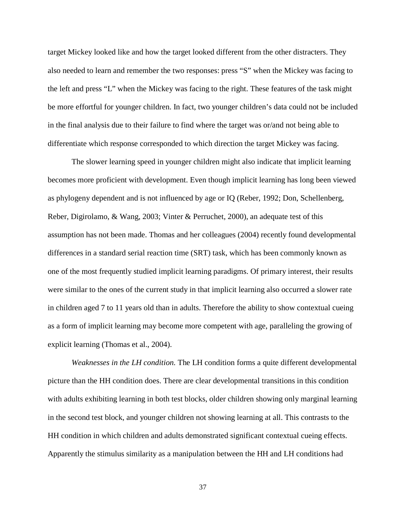target Mickey looked like and how the target looked different from the other distracters. They also needed to learn and remember the two responses: press "S" when the Mickey was facing to the left and press "L" when the Mickey was facing to the right. These features of the task might be more effortful for younger children. In fact, two younger children's data could not be included in the final analysis due to their failure to find where the target was or/and not being able to differentiate which response corresponded to which direction the target Mickey was facing.

The slower learning speed in younger children might also indicate that implicit learning becomes more proficient with development. Even though implicit learning has long been viewed as phylogeny dependent and is not influenced by age or IQ (Reber, 1992; Don, Schellenberg, Reber, Digirolamo, & Wang, 2003; Vinter & Perruchet, 2000), an adequate test of this assumption has not been made. Thomas and her colleagues (2004) recently found developmental differences in a standard serial reaction time (SRT) task, which has been commonly known as one of the most frequently studied implicit learning paradigms. Of primary interest, their results were similar to the ones of the current study in that implicit learning also occurred a slower rate in children aged 7 to 11 years old than in adults. Therefore the ability to show contextual cueing as a form of implicit learning may become more competent with age, paralleling the growing of explicit learning (Thomas et al., 2004).

*Weaknesses in the LH condition.* The LH condition forms a quite different developmental picture than the HH condition does. There are clear developmental transitions in this condition with adults exhibiting learning in both test blocks, older children showing only marginal learning in the second test block, and younger children not showing learning at all. This contrasts to the HH condition in which children and adults demonstrated significant contextual cueing effects. Apparently the stimulus similarity as a manipulation between the HH and LH conditions had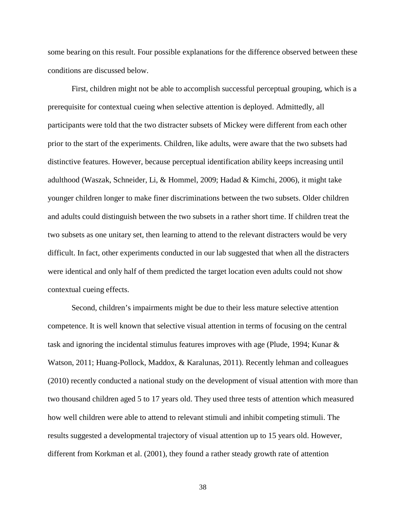some bearing on this result. Four possible explanations for the difference observed between these conditions are discussed below.

First, children might not be able to accomplish successful perceptual grouping, which is a prerequisite for contextual cueing when selective attention is deployed. Admittedly, all participants were told that the two distracter subsets of Mickey were different from each other prior to the start of the experiments. Children, like adults, were aware that the two subsets had distinctive features. However, because perceptual identification ability keeps increasing until adulthood (Waszak, Schneider, Li, & Hommel, 2009; Hadad & Kimchi, 2006), it might take younger children longer to make finer discriminations between the two subsets. Older children and adults could distinguish between the two subsets in a rather short time. If children treat the two subsets as one unitary set, then learning to attend to the relevant distracters would be very difficult. In fact, other experiments conducted in our lab suggested that when all the distracters were identical and only half of them predicted the target location even adults could not show contextual cueing effects.

Second, children's impairments might be due to their less mature selective attention competence. It is well known that selective visual attention in terms of focusing on the central task and ignoring the incidental stimulus features improves with age (Plude, 1994; Kunar & Watson, 2011; Huang-Pollock, Maddox, & Karalunas, 2011). Recently lehman and colleagues (2010) recently conducted a national study on the development of visual attention with more than two thousand children aged 5 to 17 years old. They used three tests of attention which measured how well children were able to attend to relevant stimuli and inhibit competing stimuli. The results suggested a developmental trajectory of visual attention up to 15 years old. However, different from Korkman et al. (2001), they found a rather steady growth rate of attention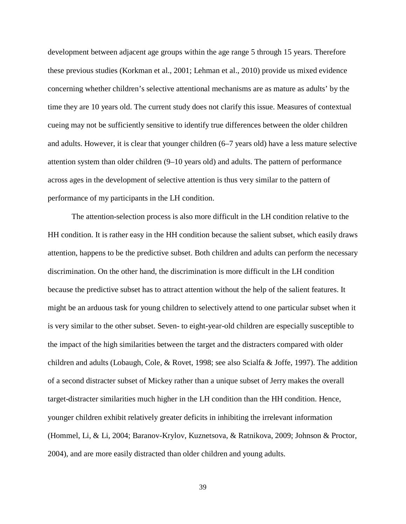development between adjacent age groups within the age range 5 through 15 years. Therefore these previous studies (Korkman et al., 2001; Lehman et al., 2010) provide us mixed evidence concerning whether children's selective attentional mechanisms are as mature as adults' by the time they are 10 years old. The current study does not clarify this issue. Measures of contextual cueing may not be sufficiently sensitive to identify true differences between the older children and adults. However, it is clear that younger children (6–7 years old) have a less mature selective attention system than older children (9–10 years old) and adults. The pattern of performance across ages in the development of selective attention is thus very similar to the pattern of performance of my participants in the LH condition.

The attention-selection process is also more difficult in the LH condition relative to the HH condition. It is rather easy in the HH condition because the salient subset, which easily draws attention, happens to be the predictive subset. Both children and adults can perform the necessary discrimination. On the other hand, the discrimination is more difficult in the LH condition because the predictive subset has to attract attention without the help of the salient features. It might be an arduous task for young children to selectively attend to one particular subset when it is very similar to the other subset. Seven- to eight-year-old children are especially susceptible to the impact of the high similarities between the target and the distracters compared with older children and adults (Lobaugh, Cole, & Rovet, 1998; see also Scialfa & Joffe, 1997). The addition of a second distracter subset of Mickey rather than a unique subset of Jerry makes the overall target-distracter similarities much higher in the LH condition than the HH condition. Hence, younger children exhibit relatively greater deficits in inhibiting the irrelevant information (Hommel, Li, & Li, 2004; Baranov-Krylov, Kuznetsova, & Ratnikova, 2009; Johnson & Proctor, 2004), and are more easily distracted than older children and young adults.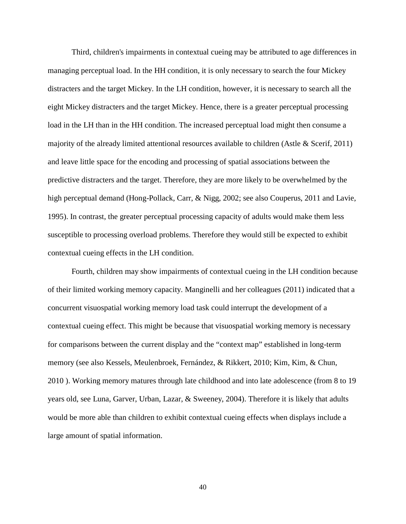Third, children's impairments in contextual cueing may be attributed to age differences in managing perceptual load. In the HH condition, it is only necessary to search the four Mickey distracters and the target Mickey. In the LH condition, however, it is necessary to search all the eight Mickey distracters and the target Mickey. Hence, there is a greater perceptual processing load in the LH than in the HH condition. The increased perceptual load might then consume a majority of the already limited attentional resources available to children (Astle & Scerif, 2011) and leave little space for the encoding and processing of spatial associations between the predictive distracters and the target. Therefore, they are more likely to be overwhelmed by the high perceptual demand (Hong-Pollack, Carr, & Nigg, 2002; see also Couperus, 2011 and Lavie, 1995). In contrast, the greater perceptual processing capacity of adults would make them less susceptible to processing overload problems. Therefore they would still be expected to exhibit contextual cueing effects in the LH condition.

Fourth, children may show impairments of contextual cueing in the LH condition because of their limited working memory capacity. Manginelli and her colleagues (2011) indicated that a concurrent visuospatial working memory load task could interrupt the development of a contextual cueing effect. This might be because that visuospatial working memory is necessary for comparisons between the current display and the "context map" established in long-term memory (see also Kessels, Meulenbroek, Fernández, & Rikkert, 2010; Kim, Kim, & Chun, 2010 ). Working memory matures through late childhood and into late adolescence (from 8 to 19 years old, see Luna, Garver, Urban, Lazar, & Sweeney, 2004). Therefore it is likely that adults would be more able than children to exhibit contextual cueing effects when displays include a large amount of spatial information.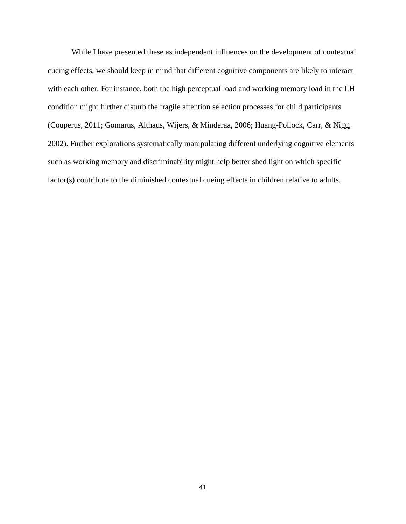While I have presented these as independent influences on the development of contextual cueing effects, we should keep in mind that different cognitive components are likely to interact with each other. For instance, both the high perceptual load and working memory load in the LH condition might further disturb the fragile attention selection processes for child participants (Couperus, 2011; Gomarus, Althaus, Wijers, & Minderaa, 2006; Huang-Pollock, Carr, & Nigg, 2002). Further explorations systematically manipulating different underlying cognitive elements such as working memory and discriminability might help better shed light on which specific factor(s) contribute to the diminished contextual cueing effects in children relative to adults.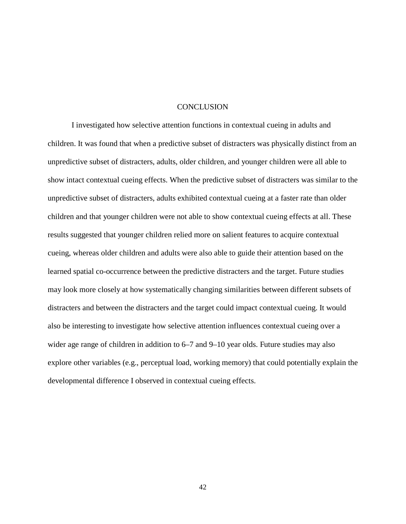### **CONCLUSION**

I investigated how selective attention functions in contextual cueing in adults and children. It was found that when a predictive subset of distracters was physically distinct from an unpredictive subset of distracters, adults, older children, and younger children were all able to show intact contextual cueing effects. When the predictive subset of distracters was similar to the unpredictive subset of distracters, adults exhibited contextual cueing at a faster rate than older children and that younger children were not able to show contextual cueing effects at all. These results suggested that younger children relied more on salient features to acquire contextual cueing, whereas older children and adults were also able to guide their attention based on the learned spatial co-occurrence between the predictive distracters and the target. Future studies may look more closely at how systematically changing similarities between different subsets of distracters and between the distracters and the target could impact contextual cueing. It would also be interesting to investigate how selective attention influences contextual cueing over a wider age range of children in addition to  $6-7$  and  $9-10$  year olds. Future studies may also explore other variables (e.g., perceptual load, working memory) that could potentially explain the developmental difference I observed in contextual cueing effects.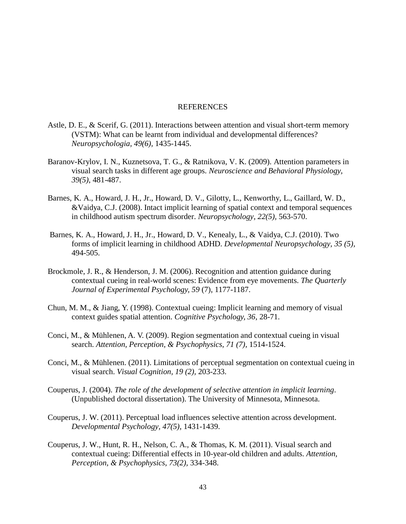### REFERENCES

- Astle, D. E., & Scerif, G. (2011). Interactions between attention and visual short-term memory (VSTM): What can be learnt from individual and developmental differences? *Neuropsychologia, 49(6),* 1435-1445.
- Baranov-Krylov, I. N., Kuznetsova, T. G., & Ratnikova, V. K. (2009). Attention parameters in visual search tasks in different age groups. *Neuroscience and Behavioral Physiology, 39(5)*, 481-487.
- Barnes, K. A., Howard, J. H., Jr., Howard, D. V., Gilotty, L., Kenworthy, L., Gaillard, W. D., &Vaidya, C.J. (2008). Intact implicit learning of spatial context and temporal sequences in childhood autism spectrum disorder. *Neuropsychology, 22(5),* 563-570.
- Barnes, K. A., Howard, J. H., Jr., Howard, D. V., Kenealy, L., & Vaidya, C.J. (2010). Two forms of implicit learning in childhood ADHD. *Developmental Neuropsychology, 35 (5),* 494-505.
- Brockmole, J. R., & Henderson, J. M. (2006). Recognition and attention guidance during contextual cueing in real-world scenes: Evidence from eye movements. *The Quarterly Journal of Experimental Psychology, 59* (7), 1177-1187.
- Chun, M. M., & Jiang, Y. (1998). Contextual cueing: Implicit learning and memory of visual context guides spatial attention. *Cognitive Psychology, 36*, 28-71.
- Conci, M., & Mühlenen, A. V. (2009). Region segmentation and contextual cueing in visual search. *Attention, Perception, & Psychophysics, 71 (7),* 1514-1524.
- Conci, M., & Mühlenen. (2011). Limitations of perceptual segmentation on contextual cueing in visual search. *Visual Cognition, 19 (2),* 203-233.
- Couperus, J. (2004). *The role of the development of selective attention in implicit learning*. (Unpublished doctoral dissertation). The University of Minnesota, Minnesota.
- Couperus, J. W. (2011). Perceptual load influences selective attention across development. *Developmental Psychology, 47(5)*, 1431-1439.
- Couperus, J. W., Hunt, R. H., Nelson, C. A., & Thomas, K. M. (2011). Visual search and contextual cueing: Differential effects in 10-year-old children and adults. *Attention, Perception, & Psychophysics, 73(2),* 334-348.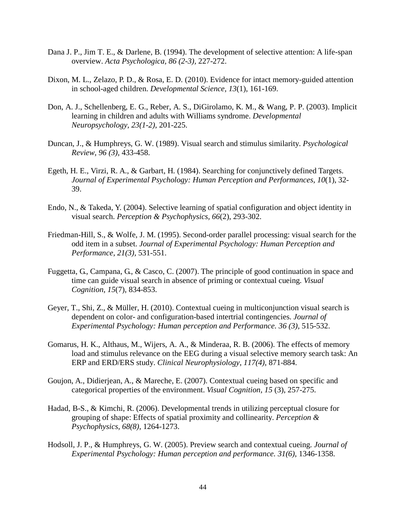- Dana J. P., Jim T. E., & Darlene, B. (1994). The development of selective attention: A life-span overview. *Acta Psychologica, 86 (2-3),* 227-272.
- Dixon, M. L., Zelazo, P. D., & Rosa, E. D. (2010). Evidence for intact memory-guided attention in school-aged children. *Developmental Science, 13*(1), 161-169.
- Don, A. J., Schellenberg, E. G., Reber, A. S., DiGirolamo, K. M., & Wang, P. P. (2003). Implicit learning in children and adults with Williams syndrome. *Developmental Neuropsychology, 23(1-2)*, 201-225.
- Duncan, J., & Humphreys, G. W. (1989). Visual search and stimulus similarity. *Psychological Review, 96 (3),* 433-458.
- Egeth, H. E., Virzi, R. A., & Garbart, H. (1984). Searching for conjunctively defined Targets. *Journal of Experimental Psychology: Human Perception and Performances, 10*(1), 32- 39.
- Endo, N., & Takeda, Y. (2004). Selective learning of spatial configuration and object identity in visual search. *Perception & Psychophysics, 66*(2), 293-302.
- Friedman-Hill, S., & Wolfe, J. M. (1995). Second-order parallel processing: visual search for the odd item in a subset. *Journal of Experimental Psychology: Human Perception and Performance, 21(3),* 531-551.
- Fuggetta, G., Campana, G., & Casco, C. (2007). The principle of good continuation in space and time can guide visual search in absence of priming or contextual cueing. *Visual Cognition, 15*(7), 834-853.
- Geyer, T., Shi, Z., & Müller, H. (2010). Contextual cueing in multiconjunction visual search is dependent on color- and configuration-based intertrial contingencies. *Journal of Experimental Psychology: Human perception and Performance. 36 (3),* 515-532.
- Gomarus, H. K., Althaus, M., Wijers, A. A., & Minderaa, R. B. (2006). The effects of memory load and stimulus relevance on the EEG during a visual selective memory search task: An ERP and ERD/ERS study. *Clinical Neurophysiology, 117(4)*, 871-884.
- Goujon, A., Didierjean, A., & Mareche, E. (2007). Contextual cueing based on specific and categorical properties of the environment. *Visual Cognition, 15* (3), 257-275.
- Hadad, B-S., & Kimchi, R. (2006). Developmental trends in utilizing perceptual closure for grouping of shape: Effects of spatial proximity and collinearity. *Perception & Psychophysics, 68(8)*, 1264-1273.
- Hodsoll, J. P., & Humphreys, G. W. (2005). Preview search and contextual cueing. *Journal of Experimental Psychology: Human perception and performance. 31(6)*, 1346-1358.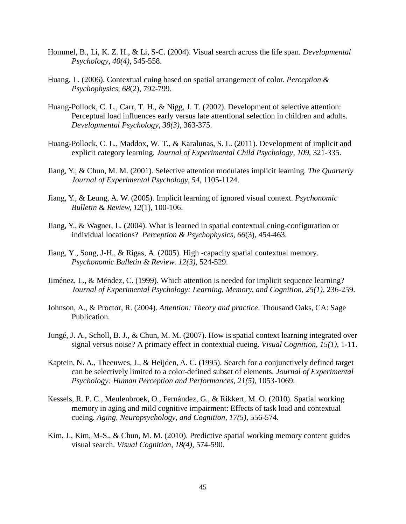- Hommel, B., Li, K. Z. H., & Li, S-C. (2004). Visual search across the life span. *Developmental Psychology, 40(4)*, 545-558.
- Huang, L. (2006). Contextual cuing based on spatial arrangement of color. *Perception & Psychophysics, 68*(2), 792-799.
- Huang-Pollock, C. L., Carr, T. H., & Nigg, J. T. (2002). Development of selective attention: Perceptual load influences early versus late attentional selection in children and adults. *Developmental Psychology, 38(3)*, 363-375.
- Huang-Pollock, C. L., Maddox, W. T., & Karalunas, S. L. (2011). Development of implicit and explicit category learning*. Journal of Experimental Child Psychology, 109,* 321-335.
- Jiang, Y., & Chun, M. M. (2001). Selective attention modulates implicit learning. *The Quarterly Journal of Experimental Psychology, 54*, 1105-1124.
- Jiang, Y., & Leung, A. W. (2005). Implicit learning of ignored visual context. *Psychonomic Bulletin & Review, 12*(1), 100-106.
- Jiang, Y., & Wagner, L. (2004). What is learned in spatial contextual cuing-configuration or individual locations? *Perception & Psychophysics, 66*(3), 454-463.
- Jiang, Y., Song, J-H., & Rigas, A. (2005). High -capacity spatial contextual memory. *Psychonomic Bulletin & Review. 12(3),* 524-529.
- Jiménez, L., & Méndez, C. (1999). Which attention is needed for implicit sequence learning? *Journal of Experimental Psychology: Learning, Memory, and Cognition, 25(1),* 236-259.
- Johnson, A., & Proctor, R. (2004). *Attention: Theory and practice*. Thousand Oaks, CA: Sage Publication.
- Jungé, J. A., Scholl, B. J., & Chun, M. M. (2007). How is spatial context learning integrated over signal versus noise? A primacy effect in contextual cueing. *Visual Cognition, 15(1),* 1-11.
- Kaptein, N. A., Theeuwes, J., & Heijden, A. C. (1995). Search for a conjunctively defined target can be selectively limited to a color-defined subset of elements. *Journal of Experimental Psychology: Human Perception and Performances, 21(5),* 1053-1069.
- Kessels, R. P. C., Meulenbroek, O., Fernández, G., & Rikkert, M. O. (2010). Spatial working memory in aging and mild cognitive impairment: Effects of task load and contextual cueing. *Aging, Neuropsychology, and Cognition, 17(5)*, 556-574.
- Kim, J., Kim, M-S., & Chun, M. M. (2010). Predictive spatial working memory content guides visual search. *Visual Cognition, 18(4),* 574-590.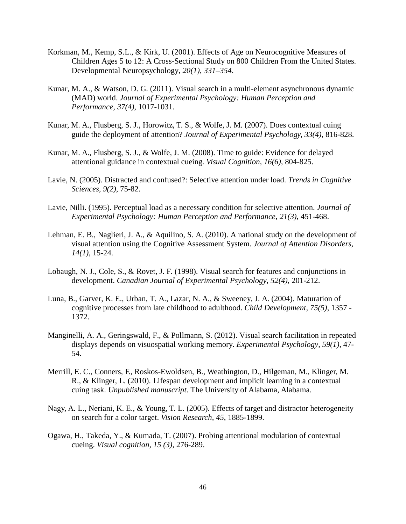- Korkman, M., Kemp, S.L., & Kirk, U. (2001). Effects of Age on Neurocognitive Measures of Children Ages 5 to 12: A Cross-Sectional Study on 800 Children From the United States. Developmental Neuropsychology, *20(1), 331–354*.
- Kunar, M. A., & Watson, D. G. (2011). Visual search in a multi-element asynchronous dynamic (MAD) world. *Journal of Experimental Psychology: Human Perception and Performance, 37(4)*, 1017-1031.
- Kunar, M. A., Flusberg, S. J., Horowitz, T. S., & Wolfe, J. M. (2007). Does contextual cuing guide the deployment of attention? *Journal of Experimental Psychology, 33(4),* 816-828.
- Kunar, M. A., Flusberg, S. J., & Wolfe, J. M. (2008). Time to guide: Evidence for delayed attentional guidance in contextual cueing. *Visual Cognition, 16(6),* 804-825.
- Lavie, N. (2005). Distracted and confused?: Selective attention under load. *Trends in Cognitive Sciences, 9(2)*, 75-82.
- Lavie, Nilli. (1995). Perceptual load as a necessary condition for selective attention. *Journal of Experimental Psychology: Human Perception and Performance, 21(3),* 451-468.
- Lehman, E. B., Naglieri, J. A., & Aquilino, S. A. (2010). A national study on the development of visual attention using the Cognitive Assessment System. *Journal of Attention Disorders, 14(1)*, 15-24.
- Lobaugh, N. J., Cole, S., & Rovet, J. F. (1998). Visual search for features and conjunctions in development. *Canadian Journal of Experimental Psychology, 52(4)*, 201-212.
- Luna, B., Garver, K. E., Urban, T. A., Lazar, N. A., & Sweeney, J. A. (2004). Maturation of cognitive processes from late childhood to adulthood. *Child Development, 75(5)*, 1357 - 1372.
- Manginelli, A. A., Geringswald, F., & Pollmann, S. (2012). Visual search facilitation in repeated displays depends on visuospatial working memory. *Experimental Psychology, 59(1)*, 47- 54.
- Merrill, E. C., Conners, F., Roskos-Ewoldsen, B., Weathington, D., Hilgeman, M., Klinger, M. R., & Klinger, L. (2010). Lifespan development and implicit learning in a contextual cuing task. *Unpublished manuscript.* The University of Alabama, Alabama.
- Nagy, A. L., Neriani, K. E., & Young, T. L. (2005). Effects of target and distractor heterogeneity on search for a color target. *Vision Research, 45*, 1885-1899.
- Ogawa, H., Takeda, Y., & Kumada, T. (2007). Probing attentional modulation of contextual cueing. *Visual cognition, 15 (3),* 276-289.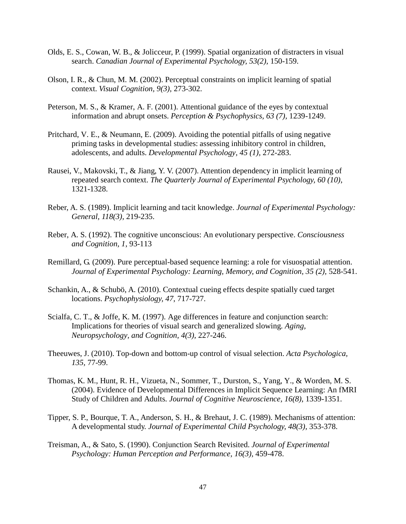- Olds, E. S., Cowan, W. B., & Jolicceur, P. (1999). Spatial organization of distracters in visual search. *Canadian Journal of Experimental Psychology, 53(2),* 150-159.
- Olson, I. R., & Chun, M. M. (2002). Perceptual constraints on implicit learning of spatial context. *Visual Cognition, 9(3),* 273-302.
- Peterson, M. S., & Kramer, A. F. (2001). Attentional guidance of the eyes by contextual information and abrupt onsets. *Perception & Psychophysics, 63 (7),* 1239-1249.
- Pritchard, V. E., & Neumann, E. (2009). Avoiding the potential pitfalls of using negative priming tasks in developmental studies: assessing inhibitory control in children, adolescents, and adults. *Developmental Psychology, 45 (1),* 272-283.
- Rausei, V., Makovski, T., & Jiang, Y. V. (2007). Attention dependency in implicit learning of repeated search context. *The Quarterly Journal of Experimental Psychology, 60 (10)*, 1321-1328.
- Reber, A. S. (1989). Implicit learning and tacit knowledge. *Journal of Experimental Psychology: General, 118(3),* 219-235.
- Reber, A. S. (1992). The cognitive unconscious: An evolutionary perspective. *Consciousness and Cognition, 1*, 93-113
- Remillard, G. (2009). Pure perceptual-based sequence learning: a role for visuospatial attention. *Journal of Experimental Psychology: Learning, Memory, and Cognition, 35 (2),* 528-541.
- Schankin, A., & Schubö, A. (2010). Contextual cueing effects despite spatially cued target locations. *Psychophysiology, 47*, 717-727.
- Scialfa, C. T., & Joffe, K. M. (1997). Age differences in feature and conjunction search: Implications for theories of visual search and generalized slowing. *Aging, Neuropsychology, and Cognition, 4(3),* 227-246.
- Theeuwes, J. (2010). Top-down and bottom-up control of visual selection. *Acta Psychologica, 135,* 77-99.
- Thomas, K. M., Hunt, R. H., Vizueta, N., Sommer, T., Durston, S., Yang, Y., & Worden, M. S. (2004). Evidence of Developmental Differences in Implicit Sequence Learning: An fMRI Study of Children and Adults. *Journal of Cognitive Neuroscience, 16(8)*, 1339-1351.
- Tipper, S. P., Bourque, T. A., Anderson, S. H., & Brehaut, J. C. (1989). Mechanisms of attention: A developmental study. *Journal of Experimental Child Psychology, 48(3),* 353-378.
- Treisman, A., & Sato, S. (1990). Conjunction Search Revisited. *Journal of Experimental Psychology: Human Perception and Performance, 16(3),* 459-478.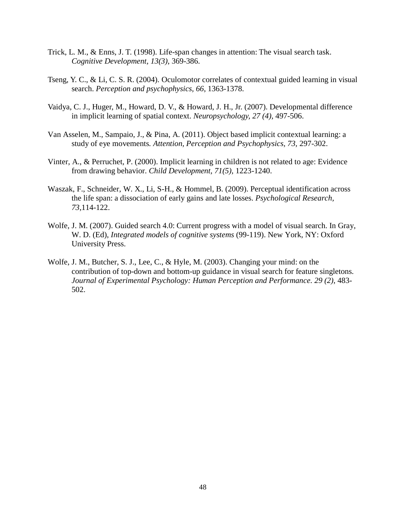- Trick, L. M., & Enns, J. T. (1998). Life-span changes in attention: The visual search task. *Cognitive Development, 13(3)*, 369-386.
- Tseng, Y. C., & Li, C. S. R. (2004). Oculomotor correlates of contextual guided learning in visual search. *Perception and psychophysics, 66*, 1363-1378.
- Vaidya, C. J., Huger, M., Howard, D. V., & Howard, J. H., Jr. (2007). Developmental difference in implicit learning of spatial context. *Neuropsychology, 27 (4),* 497-506.
- Van Asselen, M., Sampaio, J., & Pina, A. (2011). Object based implicit contextual learning: a study of eye movements*. Attention, Perception and Psychophysics, 73,* 297-302.
- Vinter, A., & Perruchet, P. (2000). Implicit learning in children is not related to age: Evidence from drawing behavior. *Child Development, 71(5),* 1223-1240.
- Waszak, F., Schneider, W. X., Li, S-H., & Hommel, B. (2009). Perceptual identification across the life span: a dissociation of early gains and late losses. *Psychological Research, 73*,114-122.
- Wolfe, J. M. (2007). Guided search 4.0: Current progress with a model of visual search. In Gray, W. D. (Ed), *Integrated models of cognitive systems* (99-119). New York, NY: Oxford University Press.
- Wolfe, J. M., Butcher, S. J., Lee, C., & Hyle, M. (2003). Changing your mind: on the contribution of top-down and bottom-up guidance in visual search for feature singletons. *Journal of Experimental Psychology: Human Perception and Performance. 29 (2)*, 483- 502.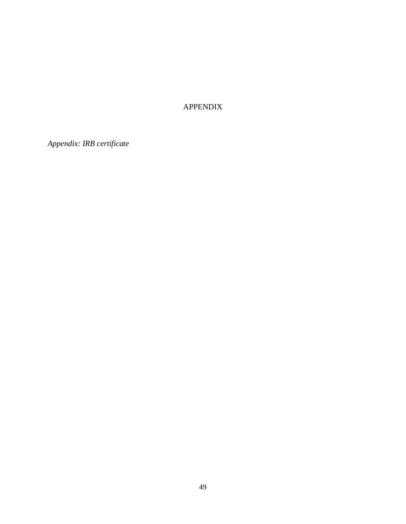# APPENDIX

*Appendix: IRB certificate*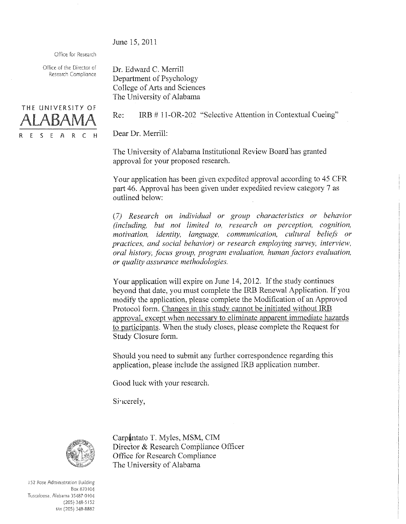June 15, 2011

Office for Research

Office of the Director of Research Compliance



Dr. Edward C. Merrill Department of Psychology College of Arts and Sciences The University of Alabama

IRB #11-OR-202 "Selective Attention in Contextual Cueing" Re:

Dear Dr. Merrill:

The University of Alabama Institutional Review Board has granted approval for your proposed research.

Your application has been given expedited approval according to 45 CFR part 46. Approval has been given under expedited review category 7 as outlined below:

(7) Research on individual or group characteristics or behavior (including, but not limited to, research on perception, cognition, motivation, identity, language, communication, cultural beliefs or practices, and social behavior) or research employing survey, interview, oral history, focus group, program evaluation, human factors evaluation, or quality assurance methodologies.

Your application will expire on June 14, 2012. If the study continues beyond that date, you must complete the IRB Renewal Application. If you modify the application, please complete the Modification of an Approved Protocol form. Changes in this study cannot be initiated without IRB approval, except when necessary to eliminate apparent immediate hazards to participants. When the study closes, please complete the Request for Study Closure form.

Should you need to submit any further correspondence regarding this application, please include the assigned IRB application number.

Good luck with your research.

Sincerely,

 $\overline{\mathbf{r}}$ 



Carpantato T. Myles, MSM, CIM Director & Research Compliance Officer Office for Research Compliance The University of Alabama

152 Rose Administration Building Box 870104 Tuscaloosa, Alabama 35487-0104  $(205)$  348-5152 FAX (205) 348-8882